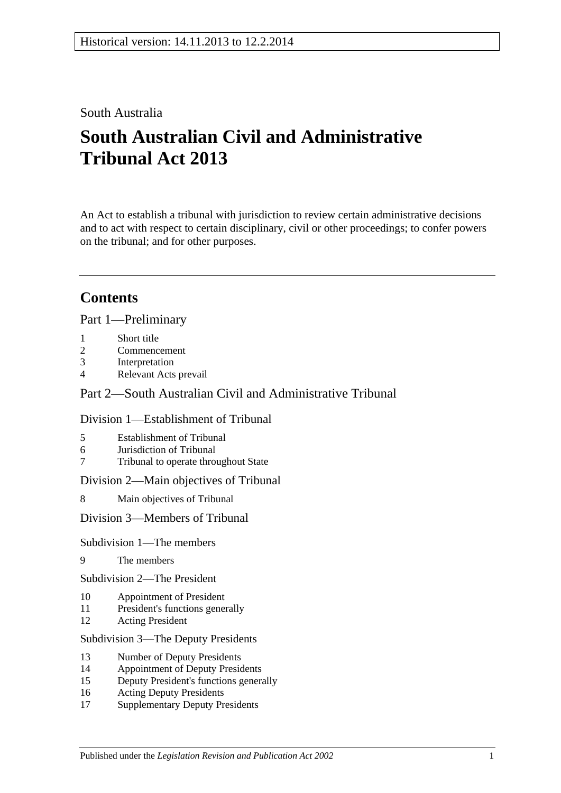## South Australia

# **South Australian Civil and Administrative Tribunal Act 2013**

An Act to establish a tribunal with jurisdiction to review certain administrative decisions and to act with respect to certain disciplinary, civil or other proceedings; to confer powers on the tribunal; and for other purposes.

# **Contents**

Part [1—Preliminary](#page-3-0)

- 1 [Short title](#page-3-1)
- 2 [Commencement](#page-3-2)
- 3 [Interpretation](#page-4-0)
- 4 [Relevant Acts prevail](#page-5-0)

## Part [2—South Australian Civil and Administrative Tribunal](#page-5-1)

## Division [1—Establishment of Tribunal](#page-5-2)

- 5 [Establishment of Tribunal](#page-5-3)
- 6 [Jurisdiction of Tribunal](#page-6-0)
- 7 [Tribunal to operate throughout State](#page-6-1)

Division [2—Main objectives of Tribunal](#page-6-2)

8 [Main objectives of Tribunal](#page-6-3)

Division [3—Members of Tribunal](#page-7-0)

#### Subdivision [1—The members](#page-7-1)

9 [The members](#page-7-2)

Subdivision [2—The President](#page-7-3)

- 10 [Appointment of President](#page-7-4)
- 11 [President's functions generally](#page-8-0)
- 12 [Acting President](#page-9-0)

#### Subdivision [3—The Deputy Presidents](#page-9-1)

- 13 [Number of Deputy Presidents](#page-9-2)
- 14 [Appointment of Deputy Presidents](#page-9-3)
- 15 [Deputy President's functions generally](#page-11-0)
- 16 [Acting Deputy Presidents](#page-12-0)
- 17 [Supplementary Deputy Presidents](#page-13-0)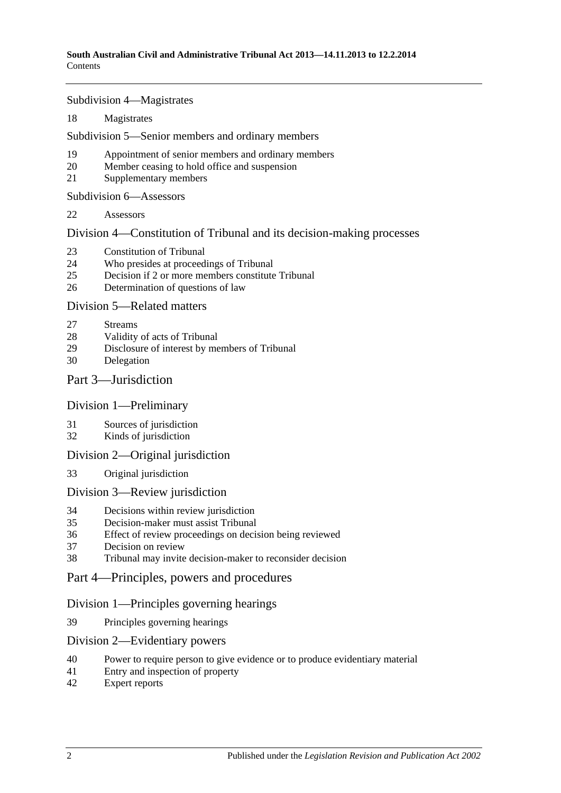Subdivision [4—Magistrates](#page-13-1)

[Magistrates](#page-13-2)

Subdivision [5—Senior members and ordinary members](#page-14-0)

- [Appointment of senior members and ordinary members](#page-14-1)
- [Member ceasing to hold office and suspension](#page-15-0)
- [Supplementary members](#page-16-0)

Subdivision [6—Assessors](#page-16-1)

[Assessors](#page-16-2)

Division [4—Constitution of Tribunal and its decision-making processes](#page-17-0)

- [Constitution of Tribunal](#page-17-1)
- [Who presides at proceedings of Tribunal](#page-18-0)
- [Decision if 2 or more members constitute Tribunal](#page-19-0)
- [Determination of questions of law](#page-19-1)

Division [5—Related matters](#page-19-2)

- [Streams](#page-19-3)
- [Validity of acts of Tribunal](#page-19-4)
- [Disclosure of interest by members of Tribunal](#page-19-5)
- [Delegation](#page-20-0)

### Part [3—Jurisdiction](#page-20-1)

#### Division [1—Preliminary](#page-20-2)

- [Sources of jurisdiction](#page-20-3)
- [Kinds of jurisdiction](#page-20-4)

#### Division [2—Original jurisdiction](#page-21-0)

[Original jurisdiction](#page-21-1)

#### Division [3—Review jurisdiction](#page-21-2)

- [Decisions within review jurisdiction](#page-21-3)<br>35 Decision-maker must assist Tribunal
- [Decision-maker must assist Tribunal](#page-22-0)
- [Effect of review proceedings on decision being reviewed](#page-22-1)
- [Decision on review](#page-23-0)
- [Tribunal may invite decision-maker to reconsider decision](#page-23-1)
- Part [4—Principles, powers and procedures](#page-24-0)

## Division [1—Principles governing hearings](#page-24-1)

[Principles governing hearings](#page-24-2)

#### Division [2—Evidentiary powers](#page-24-3)

- [Power to require person to give evidence or to produce evidentiary material](#page-24-4)
- [Entry and inspection of property](#page-25-0)
- [Expert reports](#page-26-0)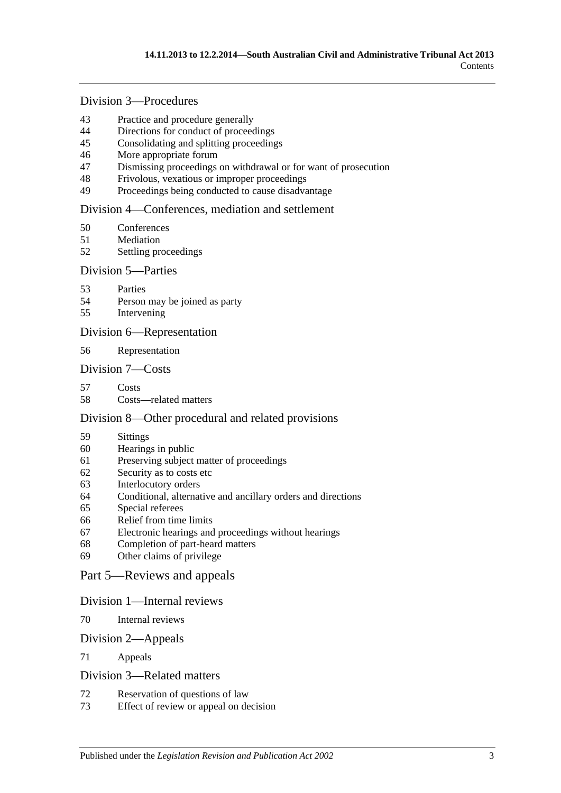## Division [3—Procedures](#page-26-1)

- [Practice and procedure generally](#page-26-2)<br>44 Directions for conduct of proceed
- [Directions for conduct of proceedings](#page-27-0)
- [Consolidating and splitting proceedings](#page-27-1)
- [More appropriate forum](#page-27-2)
- [Dismissing proceedings on withdrawal or for want of prosecution](#page-27-3)
- [Frivolous, vexatious or improper proceedings](#page-28-0)
- [Proceedings being conducted to cause disadvantage](#page-28-1)

#### Division [4—Conferences, mediation and settlement](#page-29-0)

- [Conferences](#page-29-1)
- [Mediation](#page-30-0)
- [Settling proceedings](#page-31-0)

#### Division [5—Parties](#page-31-1)

- [Parties](#page-31-2)
- [Person may be joined as party](#page-32-0)
- [Intervening](#page-32-1)

#### Division [6—Representation](#page-32-2)

[Representation](#page-32-3)

#### Division [7—Costs](#page-33-0)

- [Costs](#page-33-1)
- [Costs—related matters](#page-33-2)

#### Division [8—Other procedural and related provisions](#page-34-0)

- [Sittings](#page-34-1)
- [Hearings in public](#page-34-2)
- [Preserving subject matter of proceedings](#page-35-0)
- [Security as to costs etc](#page-35-1)
- [Interlocutory orders](#page-36-0)
- [Conditional, alternative and ancillary orders and directions](#page-36-1)
- [Special referees](#page-36-2)
- [Relief from time limits](#page-36-3)
- [Electronic hearings and proceedings without hearings](#page-37-0)
- [Completion of part-heard matters](#page-37-1)
- [Other claims of privilege](#page-37-2)

#### Part [5—Reviews and appeals](#page-37-3)

#### Division [1—Internal reviews](#page-37-4)

[Internal reviews](#page-37-5)

#### Division [2—Appeals](#page-38-0)

[Appeals](#page-38-1)

#### Division [3—Related matters](#page-39-0)

- [Reservation of questions of law](#page-39-1)
- [Effect of review or appeal on decision](#page-39-2)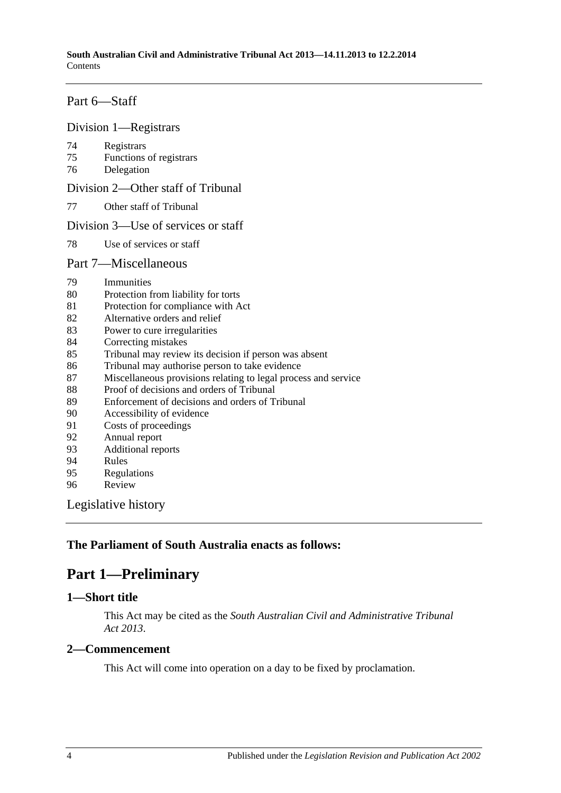## Part [6—Staff](#page-39-3)

#### Division [1—Registrars](#page-39-4)

- [Registrars](#page-39-5)
- [Functions of registrars](#page-40-0)
- [Delegation](#page-40-1)

Division [2—Other staff of Tribunal](#page-41-0)

[Other staff of Tribunal](#page-41-1)

#### Division [3—Use of services or staff](#page-41-2)

[Use of services or staff](#page-41-3)

#### Part [7—Miscellaneous](#page-41-4)

- [Immunities](#page-41-5)
- [Protection from liability for torts](#page-41-6)
- [Protection for compliance with Act](#page-42-0)
- [Alternative orders and relief](#page-42-1)
- [Power to cure irregularities](#page-42-2)
- [Correcting mistakes](#page-42-3)
- [Tribunal may review its decision if person was absent](#page-43-0)
- [Tribunal may authorise person to take evidence](#page-43-1)
- [Miscellaneous provisions relating to legal process and service](#page-44-0)
- [Proof of decisions and orders of Tribunal](#page-44-1)
- [Enforcement of decisions and orders of Tribunal](#page-44-2)
- [Accessibility of evidence](#page-44-3)
- [Costs of proceedings](#page-45-0)
- [Annual report](#page-45-1)
- [Additional reports](#page-45-2)
- [Rules](#page-46-0)
- [Regulations](#page-46-1)
- [Review](#page-47-0)

[Legislative history](#page-48-0)

## <span id="page-3-0"></span>**The Parliament of South Australia enacts as follows:**

## **Part 1—Preliminary**

## <span id="page-3-1"></span>**1—Short title**

This Act may be cited as the *South Australian Civil and Administrative Tribunal Act 2013*.

## <span id="page-3-2"></span>**2—Commencement**

This Act will come into operation on a day to be fixed by proclamation.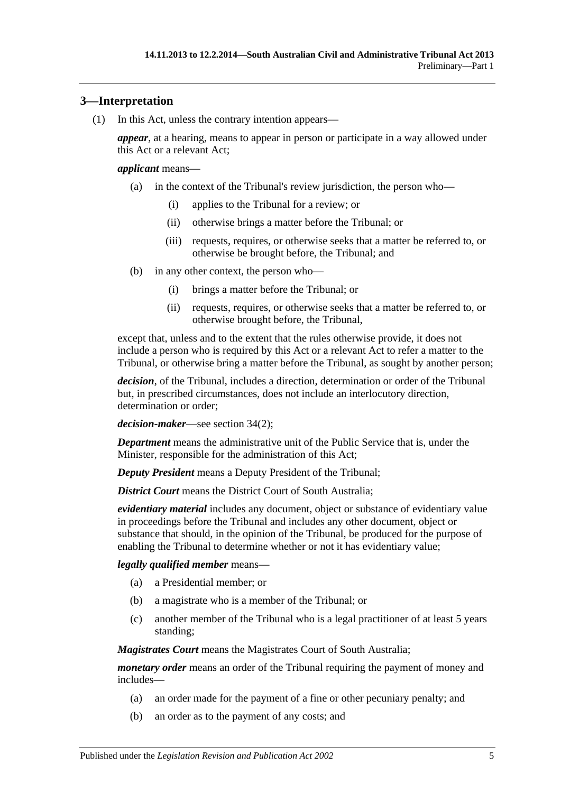## <span id="page-4-0"></span>**3—Interpretation**

(1) In this Act, unless the contrary intention appears—

*appear*, at a hearing, means to appear in person or participate in a way allowed under this Act or a relevant Act;

#### *applicant* means—

- (a) in the context of the Tribunal's review jurisdiction, the person who—
	- (i) applies to the Tribunal for a review; or
	- (ii) otherwise brings a matter before the Tribunal; or
	- (iii) requests, requires, or otherwise seeks that a matter be referred to, or otherwise be brought before, the Tribunal; and
- (b) in any other context, the person who—
	- (i) brings a matter before the Tribunal; or
	- (ii) requests, requires, or otherwise seeks that a matter be referred to, or otherwise brought before, the Tribunal,

except that, unless and to the extent that the rules otherwise provide, it does not include a person who is required by this Act or a relevant Act to refer a matter to the Tribunal, or otherwise bring a matter before the Tribunal, as sought by another person;

*decision*, of the Tribunal, includes a direction, determination or order of the Tribunal but, in prescribed circumstances, does not include an interlocutory direction, determination or order;

*decision-maker*—see [section](#page-21-4) 34(2);

*Department* means the administrative unit of the Public Service that is, under the Minister, responsible for the administration of this Act;

*Deputy President* means a Deputy President of the Tribunal;

*District Court* means the District Court of South Australia:

*evidentiary material* includes any document, object or substance of evidentiary value in proceedings before the Tribunal and includes any other document, object or substance that should, in the opinion of the Tribunal, be produced for the purpose of enabling the Tribunal to determine whether or not it has evidentiary value;

#### *legally qualified member* means—

- (a) a Presidential member; or
- (b) a magistrate who is a member of the Tribunal; or
- (c) another member of the Tribunal who is a legal practitioner of at least 5 years standing;

*Magistrates Court* means the Magistrates Court of South Australia;

*monetary order* means an order of the Tribunal requiring the payment of money and includes—

- (a) an order made for the payment of a fine or other pecuniary penalty; and
- (b) an order as to the payment of any costs; and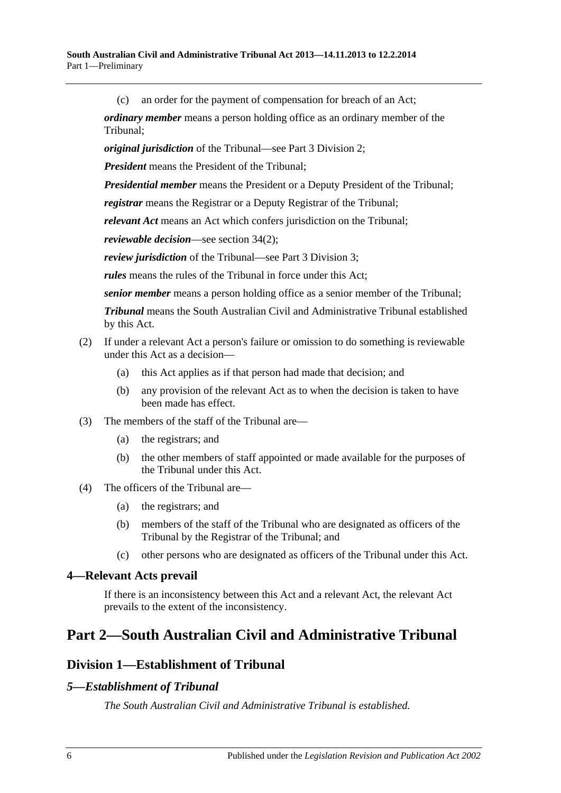(c) an order for the payment of compensation for breach of an Act;

*ordinary member* means a person holding office as an ordinary member of the Tribunal;

*original jurisdiction* of the Tribunal—see Part [3 Division](#page-21-0) 2;

*President* means the President of the Tribunal;

*Presidential member* means the President or a Deputy President of the Tribunal;

*registrar* means the Registrar or a Deputy Registrar of the Tribunal;

*relevant Act* means an Act which confers jurisdiction on the Tribunal;

*reviewable decision*—see [section](#page-21-4) 34(2);

*review jurisdiction* of the Tribunal—see Part [3 Division](#page-21-2) 3;

*rules* means the rules of the Tribunal in force under this Act;

*senior member* means a person holding office as a senior member of the Tribunal;

*Tribunal* means the South Australian Civil and Administrative Tribunal established by this Act.

#### (2) If under a relevant Act a person's failure or omission to do something is reviewable under this Act as a decision—

- (a) this Act applies as if that person had made that decision; and
- (b) any provision of the relevant Act as to when the decision is taken to have been made has effect.
- (3) The members of the staff of the Tribunal are—
	- (a) the registrars; and
	- (b) the other members of staff appointed or made available for the purposes of the Tribunal under this Act.
- (4) The officers of the Tribunal are—
	- (a) the registrars; and
	- (b) members of the staff of the Tribunal who are designated as officers of the Tribunal by the Registrar of the Tribunal; and
	- (c) other persons who are designated as officers of the Tribunal under this Act.

#### <span id="page-5-0"></span>**4—Relevant Acts prevail**

If there is an inconsistency between this Act and a relevant Act, the relevant Act prevails to the extent of the inconsistency.

## <span id="page-5-2"></span><span id="page-5-1"></span>**Part 2—South Australian Civil and Administrative Tribunal**

## **Division 1—Establishment of Tribunal**

## <span id="page-5-3"></span>*5—Establishment of Tribunal*

*The South Australian Civil and Administrative Tribunal is established.*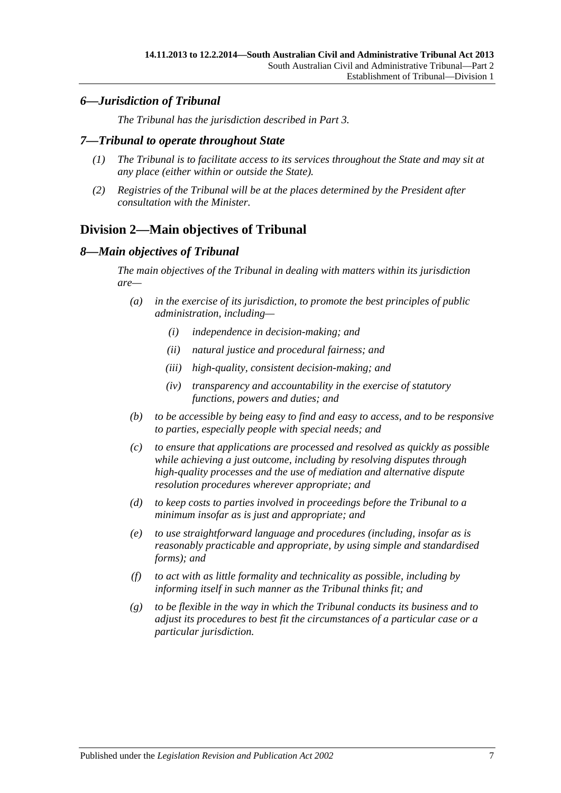## <span id="page-6-0"></span>*6—Jurisdiction of Tribunal*

*The Tribunal has the jurisdiction described in [Part](#page-20-1) 3.*

### <span id="page-6-1"></span>*7—Tribunal to operate throughout State*

- *(1) The Tribunal is to facilitate access to its services throughout the State and may sit at any place (either within or outside the State).*
- *(2) Registries of the Tribunal will be at the places determined by the President after consultation with the Minister.*

## <span id="page-6-2"></span>**Division 2—Main objectives of Tribunal**

## <span id="page-6-3"></span>*8—Main objectives of Tribunal*

*The main objectives of the Tribunal in dealing with matters within its jurisdiction are—*

- *(a) in the exercise of its jurisdiction, to promote the best principles of public administration, including—*
	- *(i) independence in decision-making; and*
	- *(ii) natural justice and procedural fairness; and*
	- *(iii) high-quality, consistent decision-making; and*
	- *(iv) transparency and accountability in the exercise of statutory functions, powers and duties; and*
- *(b) to be accessible by being easy to find and easy to access, and to be responsive to parties, especially people with special needs; and*
- *(c) to ensure that applications are processed and resolved as quickly as possible while achieving a just outcome, including by resolving disputes through high-quality processes and the use of mediation and alternative dispute resolution procedures wherever appropriate; and*
- *(d) to keep costs to parties involved in proceedings before the Tribunal to a minimum insofar as is just and appropriate; and*
- *(e) to use straightforward language and procedures (including, insofar as is reasonably practicable and appropriate, by using simple and standardised forms); and*
- *(f) to act with as little formality and technicality as possible, including by informing itself in such manner as the Tribunal thinks fit; and*
- *(g) to be flexible in the way in which the Tribunal conducts its business and to adjust its procedures to best fit the circumstances of a particular case or a particular jurisdiction.*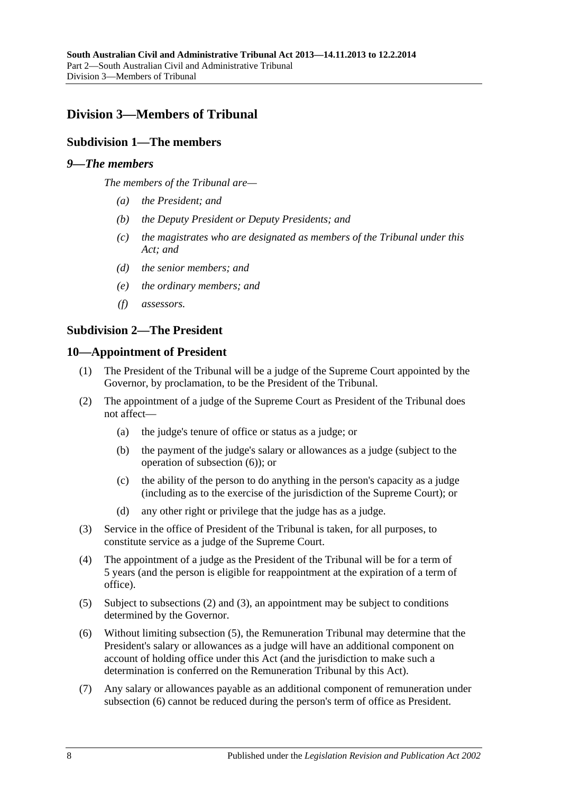## <span id="page-7-1"></span><span id="page-7-0"></span>**Division 3—Members of Tribunal**

## **Subdivision 1—The members**

### <span id="page-7-2"></span>*9—The members*

*The members of the Tribunal are—*

- *(a) the President; and*
- *(b) the Deputy President or Deputy Presidents; and*
- *(c) the magistrates who are designated as members of the Tribunal under this Act; and*
- *(d) the senior members; and*
- *(e) the ordinary members; and*
- *(f) assessors.*

#### <span id="page-7-3"></span>**Subdivision 2—The President**

#### <span id="page-7-4"></span>**10—Appointment of President**

- (1) The President of the Tribunal will be a judge of the Supreme Court appointed by the Governor, by proclamation, to be the President of the Tribunal.
- <span id="page-7-6"></span>(2) The appointment of a judge of the Supreme Court as President of the Tribunal does not affect—
	- (a) the judge's tenure of office or status as a judge; or
	- (b) the payment of the judge's salary or allowances as a judge (subject to the operation of [subsection](#page-7-5) (6)); or
	- (c) the ability of the person to do anything in the person's capacity as a judge (including as to the exercise of the jurisdiction of the Supreme Court); or
	- (d) any other right or privilege that the judge has as a judge.
- <span id="page-7-7"></span>(3) Service in the office of President of the Tribunal is taken, for all purposes, to constitute service as a judge of the Supreme Court.
- (4) The appointment of a judge as the President of the Tribunal will be for a term of 5 years (and the person is eligible for reappointment at the expiration of a term of office).
- <span id="page-7-8"></span>(5) Subject to [subsections](#page-7-6) (2) and [\(3\),](#page-7-7) an appointment may be subject to conditions determined by the Governor.
- <span id="page-7-5"></span>(6) Without limiting [subsection](#page-7-8) (5), the Remuneration Tribunal may determine that the President's salary or allowances as a judge will have an additional component on account of holding office under this Act (and the jurisdiction to make such a determination is conferred on the Remuneration Tribunal by this Act).
- (7) Any salary or allowances payable as an additional component of remuneration under [subsection](#page-7-5) (6) cannot be reduced during the person's term of office as President.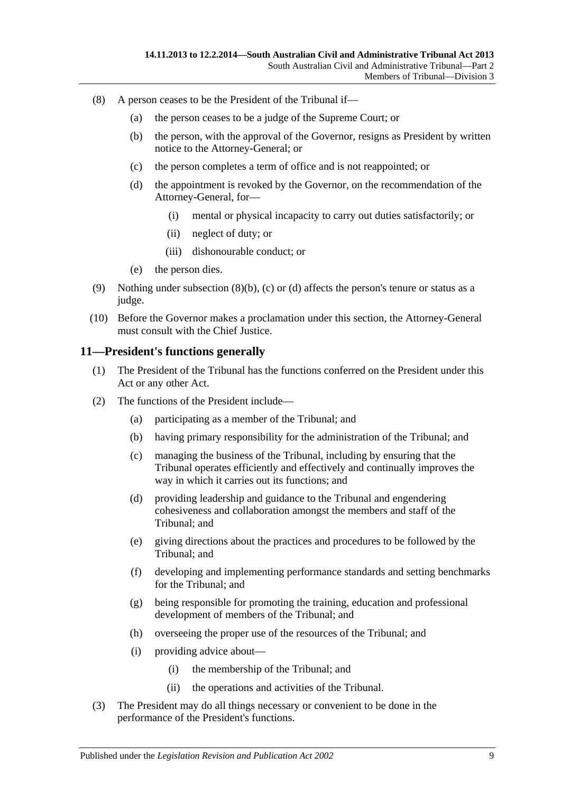- <span id="page-8-3"></span><span id="page-8-2"></span><span id="page-8-1"></span>(8) A person ceases to be the President of the Tribunal if—
	- (a) the person ceases to be a judge of the Supreme Court; or
	- (b) the person, with the approval of the Governor, resigns as President by written notice to the Attorney-General; or
	- (c) the person completes a term of office and is not reappointed; or
	- (d) the appointment is revoked by the Governor, on the recommendation of the Attorney-General, for—
		- (i) mental or physical incapacity to carry out duties satisfactorily; or
		- (ii) neglect of duty; or
		- (iii) dishonourable conduct; or
	- (e) the person dies.
- (9) Nothing under [subsection](#page-8-1)  $(8)(b)$ , [\(c\)](#page-8-2) or [\(d\)](#page-8-3) affects the person's tenure or status as a judge.
- (10) Before the Governor makes a proclamation under this section, the Attorney-General must consult with the Chief Justice.

#### <span id="page-8-0"></span>**11—President's functions generally**

- (1) The President of the Tribunal has the functions conferred on the President under this Act or any other Act.
- (2) The functions of the President include—
	- (a) participating as a member of the Tribunal; and
	- (b) having primary responsibility for the administration of the Tribunal; and
	- (c) managing the business of the Tribunal, including by ensuring that the Tribunal operates efficiently and effectively and continually improves the way in which it carries out its functions; and
	- (d) providing leadership and guidance to the Tribunal and engendering cohesiveness and collaboration amongst the members and staff of the Tribunal; and
	- (e) giving directions about the practices and procedures to be followed by the Tribunal; and
	- (f) developing and implementing performance standards and setting benchmarks for the Tribunal; and
	- (g) being responsible for promoting the training, education and professional development of members of the Tribunal; and
	- (h) overseeing the proper use of the resources of the Tribunal; and
	- (i) providing advice about—
		- (i) the membership of the Tribunal; and
		- (ii) the operations and activities of the Tribunal.
- (3) The President may do all things necessary or convenient to be done in the performance of the President's functions.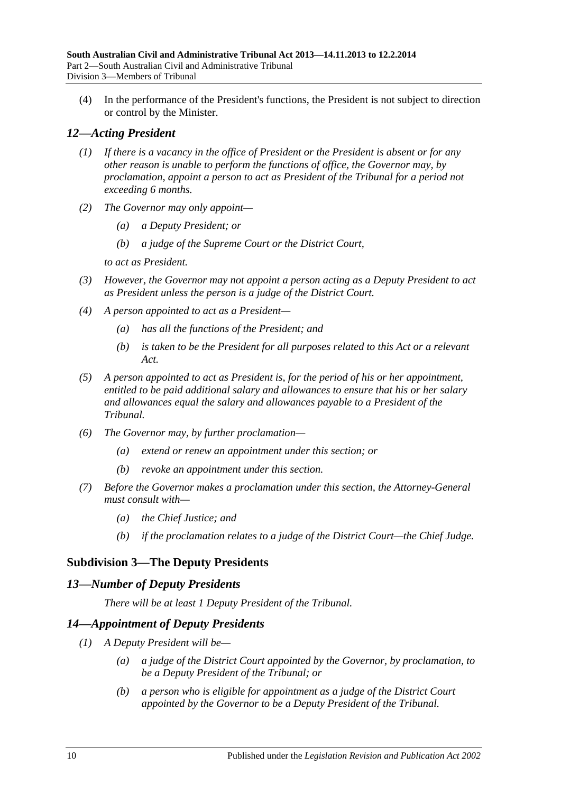(4) In the performance of the President's functions, the President is not subject to direction or control by the Minister.

## <span id="page-9-0"></span>*12—Acting President*

- *(1) If there is a vacancy in the office of President or the President is absent or for any other reason is unable to perform the functions of office, the Governor may, by proclamation, appoint a person to act as President of the Tribunal for a period not exceeding 6 months.*
- *(2) The Governor may only appoint—*
	- *(a) a Deputy President; or*
	- *(b) a judge of the Supreme Court or the District Court,*

*to act as President.*

- *(3) However, the Governor may not appoint a person acting as a Deputy President to act as President unless the person is a judge of the District Court.*
- *(4) A person appointed to act as a President—*
	- *(a) has all the functions of the President; and*
	- *(b) is taken to be the President for all purposes related to this Act or a relevant Act.*
- *(5) A person appointed to act as President is, for the period of his or her appointment, entitled to be paid additional salary and allowances to ensure that his or her salary and allowances equal the salary and allowances payable to a President of the Tribunal.*
- *(6) The Governor may, by further proclamation—*
	- *(a) extend or renew an appointment under this section; or*
	- *(b) revoke an appointment under this section.*
- *(7) Before the Governor makes a proclamation under this section, the Attorney-General must consult with—*
	- *(a) the Chief Justice; and*
	- *(b) if the proclamation relates to a judge of the District Court—the Chief Judge.*

## <span id="page-9-1"></span>**Subdivision 3—The Deputy Presidents**

## <span id="page-9-2"></span>*13—Number of Deputy Presidents*

*There will be at least 1 Deputy President of the Tribunal.*

## <span id="page-9-3"></span>*14—Appointment of Deputy Presidents*

- <span id="page-9-5"></span><span id="page-9-4"></span>*(1) A Deputy President will be—*
	- *(a) a judge of the District Court appointed by the Governor, by proclamation, to be a Deputy President of the Tribunal; or*
	- *(b) a person who is eligible for appointment as a judge of the District Court appointed by the Governor to be a Deputy President of the Tribunal.*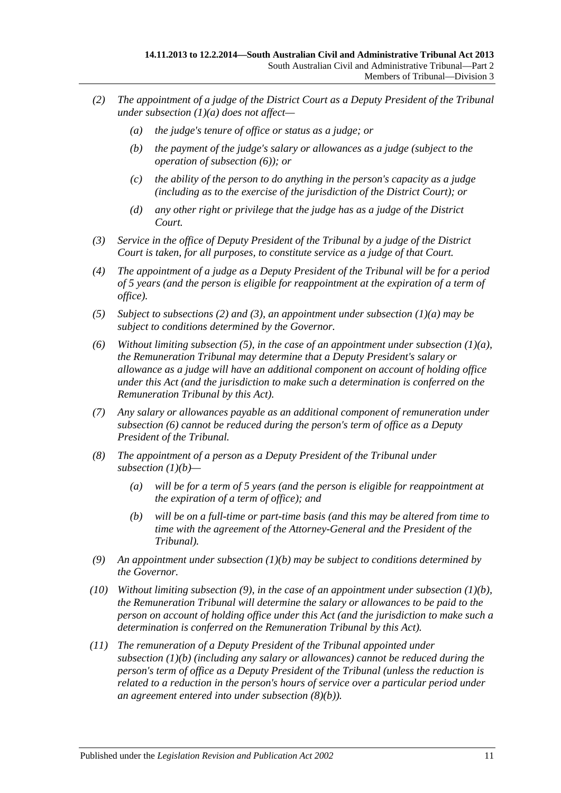- <span id="page-10-1"></span>*(2) The appointment of a judge of the District Court as a Deputy President of the Tribunal under [subsection](#page-9-4) (1)(a) does not affect—*
	- *(a) the judge's tenure of office or status as a judge; or*
	- *(b) the payment of the judge's salary or allowances as a judge (subject to the operation of [subsection](#page-10-0) (6)); or*
	- *(c) the ability of the person to do anything in the person's capacity as a judge (including as to the exercise of the jurisdiction of the District Court); or*
	- *(d) any other right or privilege that the judge has as a judge of the District Court.*
- <span id="page-10-2"></span>*(3) Service in the office of Deputy President of the Tribunal by a judge of the District Court is taken, for all purposes, to constitute service as a judge of that Court.*
- *(4) The appointment of a judge as a Deputy President of the Tribunal will be for a period of 5 years (and the person is eligible for reappointment at the expiration of a term of office).*
- <span id="page-10-3"></span>*(5) Subject to [subsections \(2\)](#page-10-1) and [\(3\),](#page-10-2) an appointment under [subsection](#page-9-4) (1)(a) may be subject to conditions determined by the Governor.*
- <span id="page-10-0"></span>*(6) Without limiting [subsection](#page-10-3) (5), in the case of an appointment under [subsection](#page-9-4) (1)(a), the Remuneration Tribunal may determine that a Deputy President's salary or allowance as a judge will have an additional component on account of holding office under this Act (and the jurisdiction to make such a determination is conferred on the Remuneration Tribunal by this Act).*
- *(7) Any salary or allowances payable as an additional component of remuneration under [subsection](#page-10-0) (6) cannot be reduced during the person's term of office as a Deputy President of the Tribunal.*
- *(8) The appointment of a person as a Deputy President of the Tribunal under [subsection](#page-9-5) (1)(b)—*
	- *(a) will be for a term of 5 years (and the person is eligible for reappointment at the expiration of a term of office); and*
	- *(b) will be on a full-time or part-time basis (and this may be altered from time to time with the agreement of the Attorney-General and the President of the Tribunal).*
- <span id="page-10-5"></span><span id="page-10-4"></span>*(9) An appointment under [subsection](#page-9-5) (1)(b) may be subject to conditions determined by the Governor.*
- *(10) Without limiting [subsection](#page-10-4) (9), in the case of an appointment under [subsection](#page-9-5) (1)(b), the Remuneration Tribunal will determine the salary or allowances to be paid to the person on account of holding office under this Act (and the jurisdiction to make such a determination is conferred on the Remuneration Tribunal by this Act).*
- *(11) The remuneration of a Deputy President of the Tribunal appointed under [subsection](#page-9-5) (1)(b) (including any salary or allowances) cannot be reduced during the person's term of office as a Deputy President of the Tribunal (unless the reduction is related to a reduction in the person's hours of service over a particular period under an agreement entered into under [subsection](#page-10-5) (8)(b)).*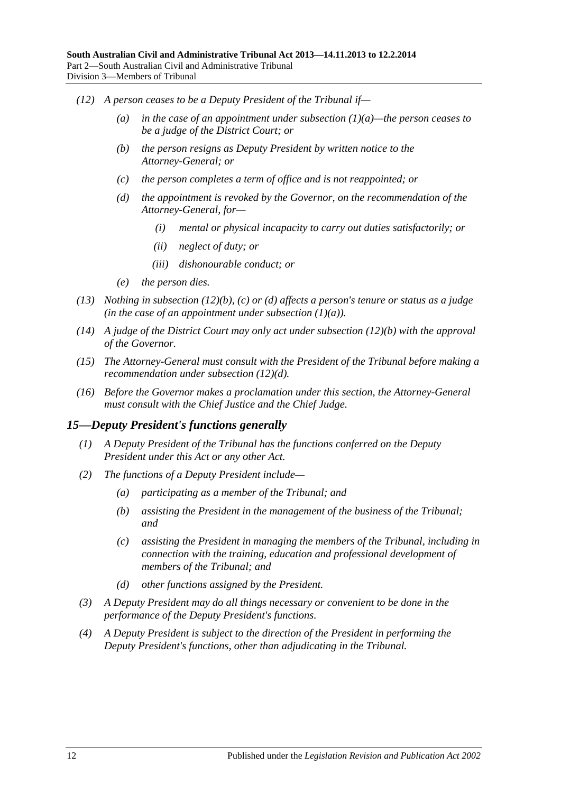- <span id="page-11-3"></span><span id="page-11-2"></span><span id="page-11-1"></span>*(12) A person ceases to be a Deputy President of the Tribunal if—*
	- *(a) in the case of an appointment under [subsection](#page-9-4) (1)(a)—the person ceases to be a judge of the District Court; or*
	- *(b) the person resigns as Deputy President by written notice to the Attorney-General; or*
	- *(c) the person completes a term of office and is not reappointed; or*
	- *(d) the appointment is revoked by the Governor, on the recommendation of the Attorney-General, for—*
		- *(i) mental or physical incapacity to carry out duties satisfactorily; or*
		- *(ii) neglect of duty; or*
		- *(iii) dishonourable conduct; or*
	- *(e) the person dies.*
- *(13) Nothing in [subsection](#page-11-1) (12)(b), [\(c\)](#page-11-2) or [\(d\)](#page-11-3) affects a person's tenure or status as a judge (in the case of an appointment under [subsection](#page-9-4)*  $(1)(a)$ *).*
- *(14) A judge of the District Court may only act under [subsection](#page-11-1) (12)(b) with the approval of the Governor.*
- *(15) The Attorney-General must consult with the President of the Tribunal before making a recommendation under [subsection](#page-11-3) (12)(d).*
- *(16) Before the Governor makes a proclamation under this section, the Attorney-General must consult with the Chief Justice and the Chief Judge.*

#### <span id="page-11-0"></span>*15—Deputy President's functions generally*

- *(1) A Deputy President of the Tribunal has the functions conferred on the Deputy President under this Act or any other Act.*
- *(2) The functions of a Deputy President include—*
	- *(a) participating as a member of the Tribunal; and*
	- *(b) assisting the President in the management of the business of the Tribunal; and*
	- *(c) assisting the President in managing the members of the Tribunal, including in connection with the training, education and professional development of members of the Tribunal; and*
	- *(d) other functions assigned by the President.*
- *(3) A Deputy President may do all things necessary or convenient to be done in the performance of the Deputy President's functions.*
- *(4) A Deputy President is subject to the direction of the President in performing the Deputy President's functions, other than adjudicating in the Tribunal.*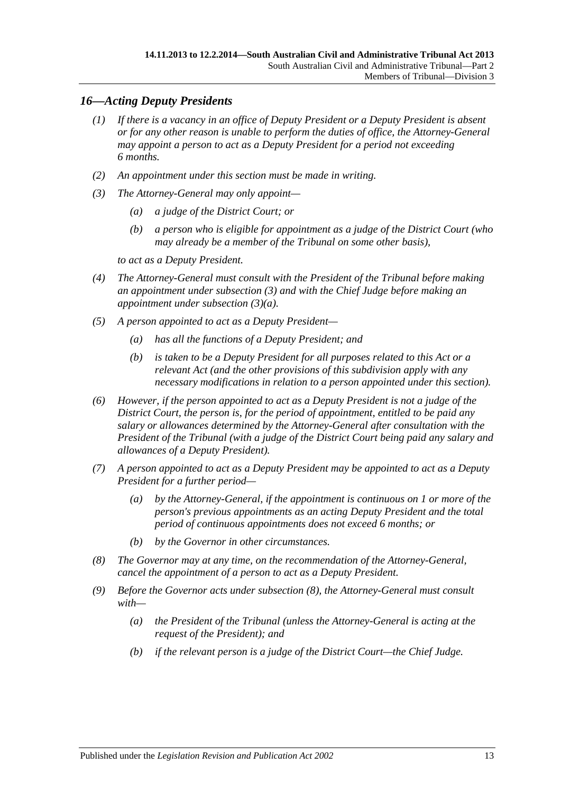## <span id="page-12-0"></span>*16—Acting Deputy Presidents*

- *(1) If there is a vacancy in an office of Deputy President or a Deputy President is absent or for any other reason is unable to perform the duties of office, the Attorney-General may appoint a person to act as a Deputy President for a period not exceeding 6 months.*
- *(2) An appointment under this section must be made in writing.*
- <span id="page-12-2"></span><span id="page-12-1"></span>*(3) The Attorney-General may only appoint—*
	- *(a) a judge of the District Court; or*
	- *(b) a person who is eligible for appointment as a judge of the District Court (who may already be a member of the Tribunal on some other basis),*

*to act as a Deputy President.*

- *(4) The Attorney-General must consult with the President of the Tribunal before making an appointment under [subsection](#page-12-1) (3) and with the Chief Judge before making an appointment under [subsection](#page-12-2) (3)(a).*
- *(5) A person appointed to act as a Deputy President—*
	- *(a) has all the functions of a Deputy President; and*
	- *(b) is taken to be a Deputy President for all purposes related to this Act or a relevant Act (and the other provisions of this subdivision apply with any necessary modifications in relation to a person appointed under this section).*
- *(6) However, if the person appointed to act as a Deputy President is not a judge of the District Court, the person is, for the period of appointment, entitled to be paid any salary or allowances determined by the Attorney-General after consultation with the President of the Tribunal (with a judge of the District Court being paid any salary and allowances of a Deputy President).*
- *(7) A person appointed to act as a Deputy President may be appointed to act as a Deputy President for a further period—*
	- *(a) by the Attorney-General, if the appointment is continuous on 1 or more of the person's previous appointments as an acting Deputy President and the total period of continuous appointments does not exceed 6 months; or*
	- *(b) by the Governor in other circumstances.*
- <span id="page-12-3"></span>*(8) The Governor may at any time, on the recommendation of the Attorney-General, cancel the appointment of a person to act as a Deputy President.*
- *(9) Before the Governor acts under [subsection](#page-12-3) (8), the Attorney-General must consult with—*
	- *(a) the President of the Tribunal (unless the Attorney-General is acting at the request of the President); and*
	- *(b) if the relevant person is a judge of the District Court—the Chief Judge.*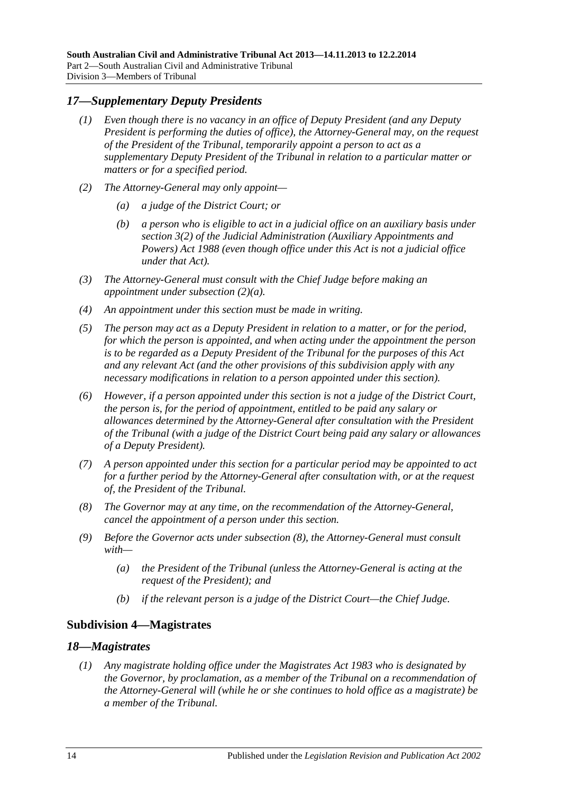## <span id="page-13-0"></span>*17—Supplementary Deputy Presidents*

- *(1) Even though there is no vacancy in an office of Deputy President (and any Deputy President is performing the duties of office), the Attorney-General may, on the request of the President of the Tribunal, temporarily appoint a person to act as a supplementary Deputy President of the Tribunal in relation to a particular matter or matters or for a specified period.*
- <span id="page-13-3"></span>*(2) The Attorney-General may only appoint—*
	- *(a) a judge of the District Court; or*
	- *(b) a person who is eligible to act in a judicial office on an auxiliary basis under section 3(2) of the [Judicial Administration \(Auxiliary Appointments and](http://www.legislation.sa.gov.au/index.aspx?action=legref&type=act&legtitle=Judicial%20Administration%20(Auxiliary%20Appointments%20and%20Powers)%20Act%201988)  [Powers\) Act](http://www.legislation.sa.gov.au/index.aspx?action=legref&type=act&legtitle=Judicial%20Administration%20(Auxiliary%20Appointments%20and%20Powers)%20Act%201988) 1988 (even though office under this Act is not a judicial office under that Act).*
- *(3) The Attorney-General must consult with the Chief Judge before making an appointment under [subsection](#page-13-3) (2)(a).*
- *(4) An appointment under this section must be made in writing.*
- *(5) The person may act as a Deputy President in relation to a matter, or for the period, for which the person is appointed, and when acting under the appointment the person is to be regarded as a Deputy President of the Tribunal for the purposes of this Act and any relevant Act (and the other provisions of this subdivision apply with any necessary modifications in relation to a person appointed under this section).*
- *(6) However, if a person appointed under this section is not a judge of the District Court, the person is, for the period of appointment, entitled to be paid any salary or allowances determined by the Attorney-General after consultation with the President of the Tribunal (with a judge of the District Court being paid any salary or allowances of a Deputy President).*
- *(7) A person appointed under this section for a particular period may be appointed to act for a further period by the Attorney-General after consultation with, or at the request of, the President of the Tribunal.*
- <span id="page-13-4"></span>*(8) The Governor may at any time, on the recommendation of the Attorney-General, cancel the appointment of a person under this section.*
- *(9) Before the Governor acts under [subsection](#page-13-4) (8), the Attorney-General must consult with—*
	- *(a) the President of the Tribunal (unless the Attorney-General is acting at the request of the President); and*
	- *(b) if the relevant person is a judge of the District Court—the Chief Judge.*

## <span id="page-13-1"></span>**Subdivision 4—Magistrates**

#### <span id="page-13-5"></span><span id="page-13-2"></span>*18—Magistrates*

*(1) Any magistrate holding office under the [Magistrates Act](http://www.legislation.sa.gov.au/index.aspx?action=legref&type=act&legtitle=Magistrates%20Act%201983) 1983 who is designated by the Governor, by proclamation, as a member of the Tribunal on a recommendation of the Attorney-General will (while he or she continues to hold office as a magistrate) be a member of the Tribunal.*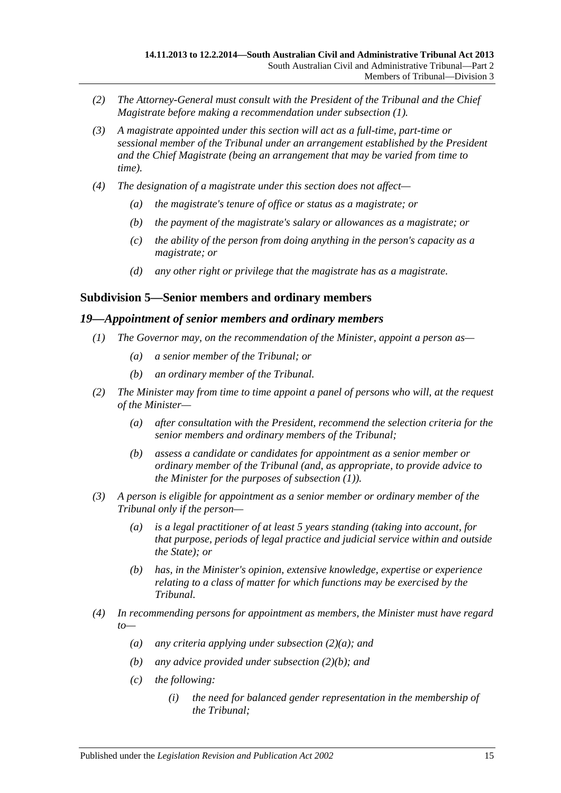- *(2) The Attorney-General must consult with the President of the Tribunal and the Chief Magistrate before making a recommendation under [subsection](#page-13-5) (1).*
- *(3) A magistrate appointed under this section will act as a full-time, part-time or sessional member of the Tribunal under an arrangement established by the President and the Chief Magistrate (being an arrangement that may be varied from time to time).*
- *(4) The designation of a magistrate under this section does not affect—*
	- *(a) the magistrate's tenure of office or status as a magistrate; or*
	- *(b) the payment of the magistrate's salary or allowances as a magistrate; or*
	- *(c) the ability of the person from doing anything in the person's capacity as a magistrate; or*
	- *(d) any other right or privilege that the magistrate has as a magistrate.*

#### <span id="page-14-0"></span>**Subdivision 5—Senior members and ordinary members**

#### <span id="page-14-2"></span><span id="page-14-1"></span>*19—Appointment of senior members and ordinary members*

- *(1) The Governor may, on the recommendation of the Minister, appoint a person as—*
	- *(a) a senior member of the Tribunal; or*
	- *(b) an ordinary member of the Tribunal.*
- <span id="page-14-5"></span><span id="page-14-3"></span>*(2) The Minister may from time to time appoint a panel of persons who will, at the request of the Minister—*
	- *(a) after consultation with the President, recommend the selection criteria for the senior members and ordinary members of the Tribunal;*
	- *(b) assess a candidate or candidates for appointment as a senior member or ordinary member of the Tribunal (and, as appropriate, to provide advice to the Minister for the purposes of [subsection](#page-14-2) (1)).*
- <span id="page-14-4"></span>*(3) A person is eligible for appointment as a senior member or ordinary member of the Tribunal only if the person—*
	- *(a) is a legal practitioner of at least 5 years standing (taking into account, for that purpose, periods of legal practice and judicial service within and outside the State); or*
	- *(b) has, in the Minister's opinion, extensive knowledge, expertise or experience relating to a class of matter for which functions may be exercised by the Tribunal.*
- *(4) In recommending persons for appointment as members, the Minister must have regard to—*
	- *(a) any criteria applying under [subsection](#page-14-3) (2)(a); and*
	- *(b) any advice provided under [subsection](#page-14-4) (2)(b); and*
	- *(c) the following:*
		- *(i) the need for balanced gender representation in the membership of the Tribunal;*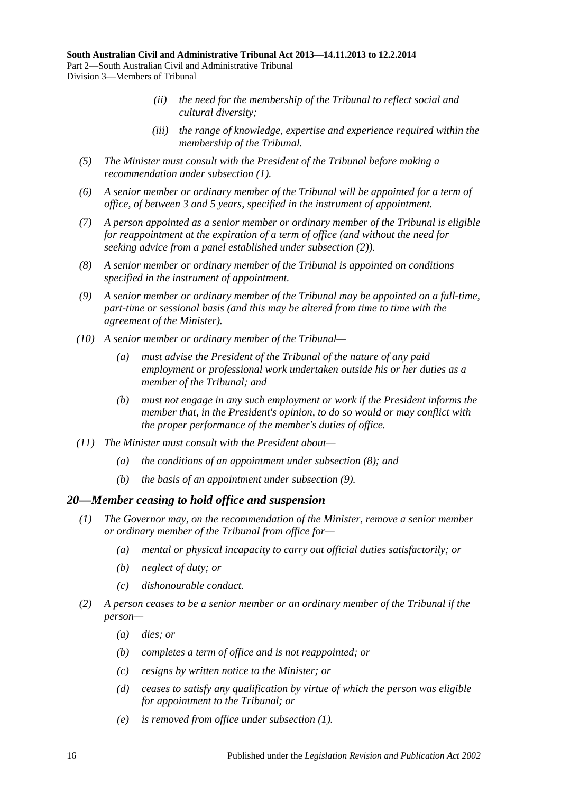- *(ii) the need for the membership of the Tribunal to reflect social and cultural diversity;*
- *(iii) the range of knowledge, expertise and experience required within the membership of the Tribunal.*
- *(5) The Minister must consult with the President of the Tribunal before making a recommendation under [subsection](#page-14-2) (1).*
- *(6) A senior member or ordinary member of the Tribunal will be appointed for a term of office, of between 3 and 5 years, specified in the instrument of appointment.*
- *(7) A person appointed as a senior member or ordinary member of the Tribunal is eligible for reappointment at the expiration of a term of office (and without the need for seeking advice from a panel established under [subsection](#page-14-5) (2)).*
- <span id="page-15-1"></span>*(8) A senior member or ordinary member of the Tribunal is appointed on conditions specified in the instrument of appointment.*
- <span id="page-15-2"></span>*(9) A senior member or ordinary member of the Tribunal may be appointed on a full-time, part-time or sessional basis (and this may be altered from time to time with the agreement of the Minister).*
- *(10) A senior member or ordinary member of the Tribunal—*
	- *(a) must advise the President of the Tribunal of the nature of any paid employment or professional work undertaken outside his or her duties as a member of the Tribunal; and*
	- *(b) must not engage in any such employment or work if the President informs the member that, in the President's opinion, to do so would or may conflict with the proper performance of the member's duties of office.*
- *(11) The Minister must consult with the President about—*
	- *(a) the conditions of an appointment under [subsection](#page-15-1) (8); and*
	- *(b) the basis of an appointment under [subsection](#page-15-2) (9).*

#### <span id="page-15-3"></span><span id="page-15-0"></span>*20—Member ceasing to hold office and suspension*

- *(1) The Governor may, on the recommendation of the Minister, remove a senior member or ordinary member of the Tribunal from office for—*
	- *(a) mental or physical incapacity to carry out official duties satisfactorily; or*
	- *(b) neglect of duty; or*
	- *(c) dishonourable conduct.*
- *(2) A person ceases to be a senior member or an ordinary member of the Tribunal if the person—*
	- *(a) dies; or*
	- *(b) completes a term of office and is not reappointed; or*
	- *(c) resigns by written notice to the Minister; or*
	- *(d) ceases to satisfy any qualification by virtue of which the person was eligible for appointment to the Tribunal; or*
	- *(e) is removed from office under [subsection](#page-15-3) (1).*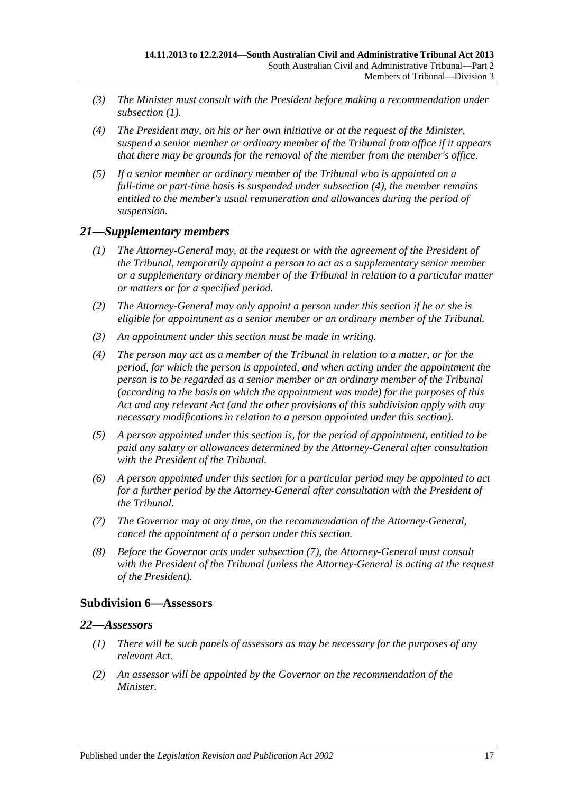- *(3) The Minister must consult with the President before making a recommendation under [subsection](#page-15-3) (1).*
- <span id="page-16-3"></span>*(4) The President may, on his or her own initiative or at the request of the Minister, suspend a senior member or ordinary member of the Tribunal from office if it appears that there may be grounds for the removal of the member from the member's office.*
- *(5) If a senior member or ordinary member of the Tribunal who is appointed on a full-time or part-time basis is suspended under [subsection](#page-16-3) (4), the member remains entitled to the member's usual remuneration and allowances during the period of suspension.*

#### <span id="page-16-0"></span>*21—Supplementary members*

- *(1) The Attorney-General may, at the request or with the agreement of the President of the Tribunal, temporarily appoint a person to act as a supplementary senior member or a supplementary ordinary member of the Tribunal in relation to a particular matter or matters or for a specified period.*
- *(2) The Attorney-General may only appoint a person under this section if he or she is eligible for appointment as a senior member or an ordinary member of the Tribunal.*
- *(3) An appointment under this section must be made in writing.*
- *(4) The person may act as a member of the Tribunal in relation to a matter, or for the period, for which the person is appointed, and when acting under the appointment the person is to be regarded as a senior member or an ordinary member of the Tribunal (according to the basis on which the appointment was made) for the purposes of this Act and any relevant Act (and the other provisions of this subdivision apply with any necessary modifications in relation to a person appointed under this section).*
- *(5) A person appointed under this section is, for the period of appointment, entitled to be paid any salary or allowances determined by the Attorney-General after consultation with the President of the Tribunal.*
- *(6) A person appointed under this section for a particular period may be appointed to act for a further period by the Attorney-General after consultation with the President of the Tribunal.*
- <span id="page-16-4"></span>*(7) The Governor may at any time, on the recommendation of the Attorney-General, cancel the appointment of a person under this section.*
- *(8) Before the Governor acts under [subsection](#page-16-4) (7), the Attorney-General must consult with the President of the Tribunal (unless the Attorney-General is acting at the request of the President).*

#### <span id="page-16-1"></span>**Subdivision 6—Assessors**

#### <span id="page-16-2"></span>*22—Assessors*

- *(1) There will be such panels of assessors as may be necessary for the purposes of any relevant Act.*
- <span id="page-16-5"></span>*(2) An assessor will be appointed by the Governor on the recommendation of the Minister.*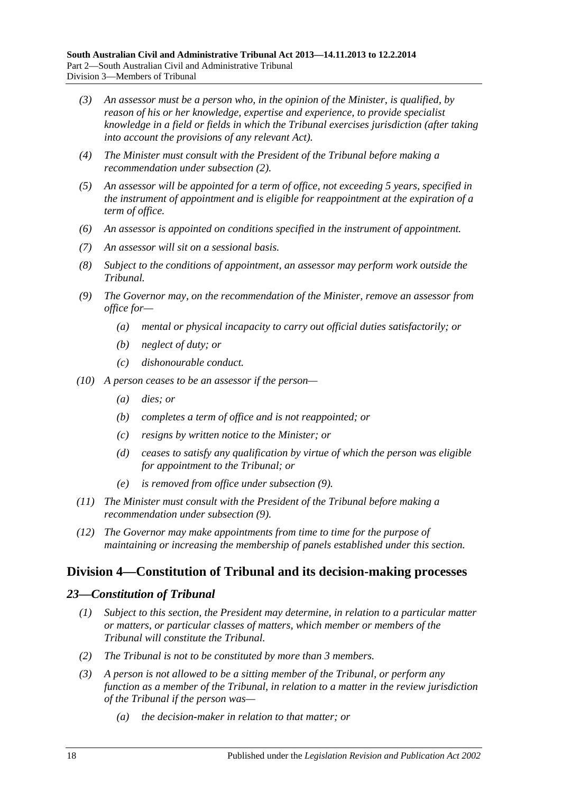- *(3) An assessor must be a person who, in the opinion of the Minister, is qualified, by reason of his or her knowledge, expertise and experience, to provide specialist knowledge in a field or fields in which the Tribunal exercises jurisdiction (after taking into account the provisions of any relevant Act).*
- *(4) The Minister must consult with the President of the Tribunal before making a recommendation under [subsection](#page-16-5) (2).*
- *(5) An assessor will be appointed for a term of office, not exceeding 5 years, specified in the instrument of appointment and is eligible for reappointment at the expiration of a term of office.*
- *(6) An assessor is appointed on conditions specified in the instrument of appointment.*
- *(7) An assessor will sit on a sessional basis.*
- *(8) Subject to the conditions of appointment, an assessor may perform work outside the Tribunal.*
- <span id="page-17-2"></span>*(9) The Governor may, on the recommendation of the Minister, remove an assessor from office for—*
	- *(a) mental or physical incapacity to carry out official duties satisfactorily; or*
	- *(b) neglect of duty; or*
	- *(c) dishonourable conduct.*
- *(10) A person ceases to be an assessor if the person—*
	- *(a) dies; or*
	- *(b) completes a term of office and is not reappointed; or*
	- *(c) resigns by written notice to the Minister; or*
	- *(d) ceases to satisfy any qualification by virtue of which the person was eligible for appointment to the Tribunal; or*
	- *(e) is removed from office under [subsection](#page-17-2) (9).*
- *(11) The Minister must consult with the President of the Tribunal before making a recommendation under [subsection](#page-17-2) (9).*
- *(12) The Governor may make appointments from time to time for the purpose of maintaining or increasing the membership of panels established under this section.*

## <span id="page-17-0"></span>**Division 4—Constitution of Tribunal and its decision-making processes**

#### <span id="page-17-1"></span>*23—Constitution of Tribunal*

- *(1) Subject to this section, the President may determine, in relation to a particular matter or matters, or particular classes of matters, which member or members of the Tribunal will constitute the Tribunal.*
- *(2) The Tribunal is not to be constituted by more than 3 members.*
- *(3) A person is not allowed to be a sitting member of the Tribunal, or perform any function as a member of the Tribunal, in relation to a matter in the review jurisdiction of the Tribunal if the person was—*
	- *(a) the decision-maker in relation to that matter; or*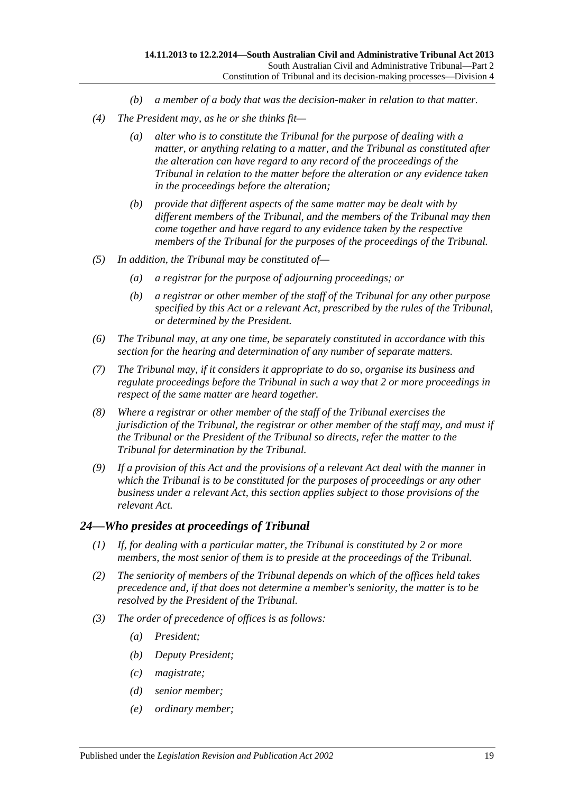- *(b) a member of a body that was the decision-maker in relation to that matter.*
- *(4) The President may, as he or she thinks fit—*
	- *(a) alter who is to constitute the Tribunal for the purpose of dealing with a matter, or anything relating to a matter, and the Tribunal as constituted after the alteration can have regard to any record of the proceedings of the Tribunal in relation to the matter before the alteration or any evidence taken in the proceedings before the alteration;*
	- *(b) provide that different aspects of the same matter may be dealt with by different members of the Tribunal, and the members of the Tribunal may then come together and have regard to any evidence taken by the respective members of the Tribunal for the purposes of the proceedings of the Tribunal.*
- *(5) In addition, the Tribunal may be constituted of—*
	- *(a) a registrar for the purpose of adjourning proceedings; or*
	- *(b) a registrar or other member of the staff of the Tribunal for any other purpose specified by this Act or a relevant Act, prescribed by the rules of the Tribunal, or determined by the President.*
- *(6) The Tribunal may, at any one time, be separately constituted in accordance with this section for the hearing and determination of any number of separate matters.*
- *(7) The Tribunal may, if it considers it appropriate to do so, organise its business and regulate proceedings before the Tribunal in such a way that 2 or more proceedings in respect of the same matter are heard together.*
- *(8) Where a registrar or other member of the staff of the Tribunal exercises the jurisdiction of the Tribunal, the registrar or other member of the staff may, and must if the Tribunal or the President of the Tribunal so directs, refer the matter to the Tribunal for determination by the Tribunal.*
- *(9) If a provision of this Act and the provisions of a relevant Act deal with the manner in which the Tribunal is to be constituted for the purposes of proceedings or any other business under a relevant Act, this section applies subject to those provisions of the relevant Act.*

#### <span id="page-18-0"></span>*24—Who presides at proceedings of Tribunal*

- *(1) If, for dealing with a particular matter, the Tribunal is constituted by 2 or more members, the most senior of them is to preside at the proceedings of the Tribunal.*
- *(2) The seniority of members of the Tribunal depends on which of the offices held takes precedence and, if that does not determine a member's seniority, the matter is to be resolved by the President of the Tribunal.*
- *(3) The order of precedence of offices is as follows:*
	- *(a) President;*
	- *(b) Deputy President;*
	- *(c) magistrate;*
	- *(d) senior member;*
	- *(e) ordinary member;*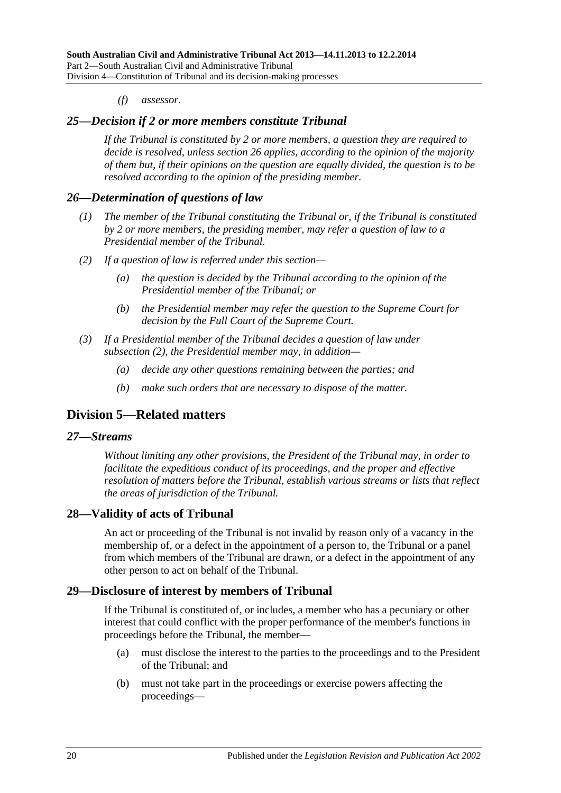#### *(f) assessor.*

#### <span id="page-19-0"></span>*25—Decision if 2 or more members constitute Tribunal*

*If the Tribunal is constituted by 2 or more members, a question they are required to decide is resolved, unless [section](#page-19-1) 26 applies, according to the opinion of the majority of them but, if their opinions on the question are equally divided, the question is to be resolved according to the opinion of the presiding member.*

#### <span id="page-19-1"></span>*26—Determination of questions of law*

- *(1) The member of the Tribunal constituting the Tribunal or, if the Tribunal is constituted by 2 or more members, the presiding member, may refer a question of law to a Presidential member of the Tribunal.*
- <span id="page-19-6"></span>*(2) If a question of law is referred under this section—*
	- *(a) the question is decided by the Tribunal according to the opinion of the Presidential member of the Tribunal; or*
	- *(b) the Presidential member may refer the question to the Supreme Court for decision by the Full Court of the Supreme Court.*
- *(3) If a Presidential member of the Tribunal decides a question of law under [subsection](#page-19-6) (2), the Presidential member may, in addition—*
	- *(a) decide any other questions remaining between the parties; and*
	- *(b) make such orders that are necessary to dispose of the matter.*

## <span id="page-19-2"></span>**Division 5—Related matters**

#### <span id="page-19-3"></span>*27—Streams*

*Without limiting any other provisions, the President of the Tribunal may, in order to facilitate the expeditious conduct of its proceedings, and the proper and effective resolution of matters before the Tribunal, establish various streams or lists that reflect the areas of jurisdiction of the Tribunal.*

## <span id="page-19-4"></span>**28—Validity of acts of Tribunal**

An act or proceeding of the Tribunal is not invalid by reason only of a vacancy in the membership of, or a defect in the appointment of a person to, the Tribunal or a panel from which members of the Tribunal are drawn, or a defect in the appointment of any other person to act on behalf of the Tribunal.

## <span id="page-19-5"></span>**29—Disclosure of interest by members of Tribunal**

If the Tribunal is constituted of, or includes, a member who has a pecuniary or other interest that could conflict with the proper performance of the member's functions in proceedings before the Tribunal, the member—

- (a) must disclose the interest to the parties to the proceedings and to the President of the Tribunal; and
- (b) must not take part in the proceedings or exercise powers affecting the proceedings—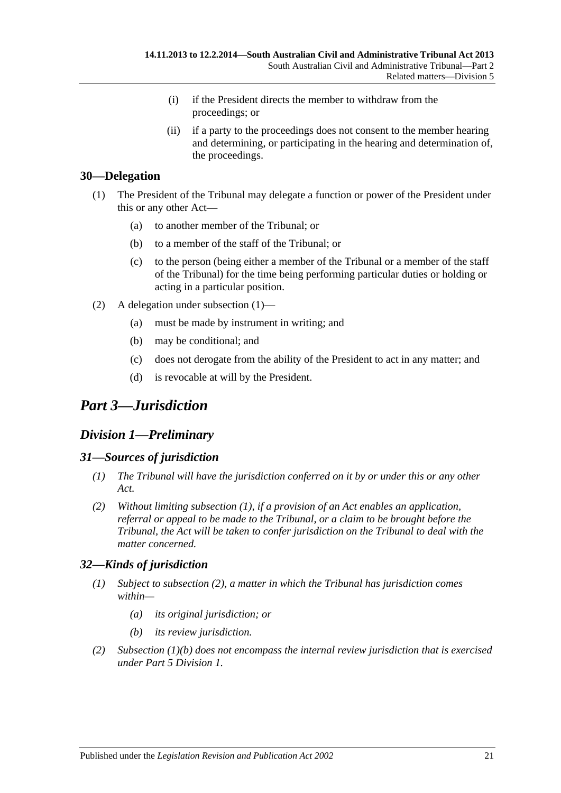- (i) if the President directs the member to withdraw from the proceedings; or
- (ii) if a party to the proceedings does not consent to the member hearing and determining, or participating in the hearing and determination of, the proceedings.

## <span id="page-20-5"></span><span id="page-20-0"></span>**30—Delegation**

- (1) The President of the Tribunal may delegate a function or power of the President under this or any other Act—
	- (a) to another member of the Tribunal; or
	- (b) to a member of the staff of the Tribunal; or
	- (c) to the person (being either a member of the Tribunal or a member of the staff of the Tribunal) for the time being performing particular duties or holding or acting in a particular position.
- (2) A delegation under [subsection](#page-20-5) (1)—
	- (a) must be made by instrument in writing; and
	- (b) may be conditional; and
	- (c) does not derogate from the ability of the President to act in any matter; and
	- (d) is revocable at will by the President.

## <span id="page-20-1"></span>*Part 3—Jurisdiction*

## <span id="page-20-2"></span>*Division 1—Preliminary*

## <span id="page-20-6"></span><span id="page-20-3"></span>*31—Sources of jurisdiction*

- *(1) The Tribunal will have the jurisdiction conferred on it by or under this or any other Act.*
- *(2) Without limiting [subsection](#page-20-6) (1), if a provision of an Act enables an application, referral or appeal to be made to the Tribunal, or a claim to be brought before the Tribunal, the Act will be taken to confer jurisdiction on the Tribunal to deal with the matter concerned.*

## <span id="page-20-4"></span>*32—Kinds of jurisdiction*

- *(1) Subject to [subsection](#page-20-7) (2), a matter in which the Tribunal has jurisdiction comes within—*
	- *(a) its original jurisdiction; or*
	- *(b) its review jurisdiction.*
- <span id="page-20-8"></span><span id="page-20-7"></span>*(2) [Subsection](#page-20-8) (1)(b) does not encompass the internal review jurisdiction that is exercised under Part [5 Division](#page-37-4) 1.*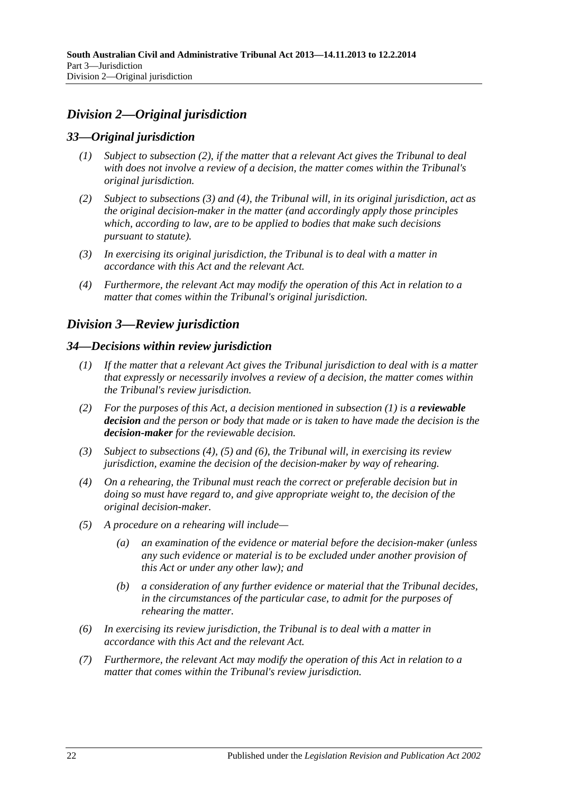## <span id="page-21-0"></span>*Division 2—Original jurisdiction*

## <span id="page-21-1"></span>*33—Original jurisdiction*

- *(1) Subject to [subsection](#page-21-5) (2), if the matter that a relevant Act gives the Tribunal to deal with does not involve a review of a decision, the matter comes within the Tribunal's original jurisdiction.*
- <span id="page-21-5"></span>*(2) Subject to [subsections](#page-21-6) (3) and [\(4\),](#page-21-7) the Tribunal will, in its original jurisdiction, act as the original decision-maker in the matter (and accordingly apply those principles which, according to law, are to be applied to bodies that make such decisions pursuant to statute).*
- <span id="page-21-6"></span>*(3) In exercising its original jurisdiction, the Tribunal is to deal with a matter in accordance with this Act and the relevant Act.*
- <span id="page-21-7"></span>*(4) Furthermore, the relevant Act may modify the operation of this Act in relation to a matter that comes within the Tribunal's original jurisdiction.*

## <span id="page-21-2"></span>*Division 3—Review jurisdiction*

#### <span id="page-21-8"></span><span id="page-21-3"></span>*34—Decisions within review jurisdiction*

- *(1) If the matter that a relevant Act gives the Tribunal jurisdiction to deal with is a matter that expressly or necessarily involves a review of a decision, the matter comes within the Tribunal's review jurisdiction.*
- <span id="page-21-4"></span>*(2) For the purposes of this Act, a decision mentioned in [subsection](#page-21-8) (1) is a reviewable decision and the person or body that made or is taken to have made the decision is the decision-maker for the reviewable decision.*
- *(3) Subject to [subsections \(4\),](#page-21-9) [\(5\)](#page-21-10) and [\(6\),](#page-21-11) the Tribunal will, in exercising its review jurisdiction, examine the decision of the decision-maker by way of rehearing.*
- <span id="page-21-9"></span>*(4) On a rehearing, the Tribunal must reach the correct or preferable decision but in doing so must have regard to, and give appropriate weight to, the decision of the original decision-maker.*
- <span id="page-21-10"></span>*(5) A procedure on a rehearing will include—*
	- *(a) an examination of the evidence or material before the decision-maker (unless any such evidence or material is to be excluded under another provision of this Act or under any other law); and*
	- *(b) a consideration of any further evidence or material that the Tribunal decides, in the circumstances of the particular case, to admit for the purposes of rehearing the matter.*
- <span id="page-21-11"></span>*(6) In exercising its review jurisdiction, the Tribunal is to deal with a matter in accordance with this Act and the relevant Act.*
- *(7) Furthermore, the relevant Act may modify the operation of this Act in relation to a matter that comes within the Tribunal's review jurisdiction.*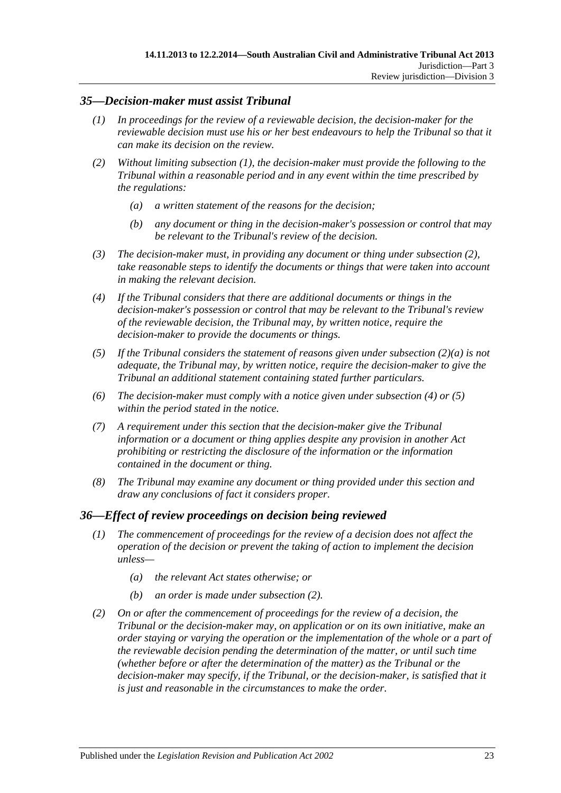## <span id="page-22-2"></span><span id="page-22-0"></span>*35—Decision-maker must assist Tribunal*

- *(1) In proceedings for the review of a reviewable decision, the decision-maker for the reviewable decision must use his or her best endeavours to help the Tribunal so that it can make its decision on the review.*
- <span id="page-22-4"></span><span id="page-22-3"></span>*(2) Without limiting [subsection](#page-22-2) (1), the decision-maker must provide the following to the Tribunal within a reasonable period and in any event within the time prescribed by the regulations:*
	- *(a) a written statement of the reasons for the decision;*
	- *(b) any document or thing in the decision-maker's possession or control that may be relevant to the Tribunal's review of the decision.*
- *(3) The decision-maker must, in providing any document or thing under [subsection](#page-22-3) (2), take reasonable steps to identify the documents or things that were taken into account in making the relevant decision.*
- <span id="page-22-5"></span>*(4) If the Tribunal considers that there are additional documents or things in the decision-maker's possession or control that may be relevant to the Tribunal's review of the reviewable decision, the Tribunal may, by written notice, require the decision-maker to provide the documents or things.*
- <span id="page-22-6"></span>*(5) If the Tribunal considers the statement of reasons given under [subsection](#page-22-4) (2)(a) is not adequate, the Tribunal may, by written notice, require the decision-maker to give the Tribunal an additional statement containing stated further particulars.*
- *(6) The decision-maker must comply with a notice given under [subsection](#page-22-5) (4) or [\(5\)](#page-22-6) within the period stated in the notice.*
- *(7) A requirement under this section that the decision-maker give the Tribunal information or a document or thing applies despite any provision in another Act prohibiting or restricting the disclosure of the information or the information contained in the document or thing.*
- *(8) The Tribunal may examine any document or thing provided under this section and draw any conclusions of fact it considers proper.*

#### <span id="page-22-1"></span>*36—Effect of review proceedings on decision being reviewed*

- *(1) The commencement of proceedings for the review of a decision does not affect the operation of the decision or prevent the taking of action to implement the decision unless—*
	- *(a) the relevant Act states otherwise; or*
	- *(b) an order is made under [subsection](#page-22-7) (2).*
- <span id="page-22-7"></span>*(2) On or after the commencement of proceedings for the review of a decision, the Tribunal or the decision-maker may, on application or on its own initiative, make an order staying or varying the operation or the implementation of the whole or a part of the reviewable decision pending the determination of the matter, or until such time (whether before or after the determination of the matter) as the Tribunal or the*  decision-maker may specify, if the Tribunal, or the decision-maker, is satisfied that it *is just and reasonable in the circumstances to make the order.*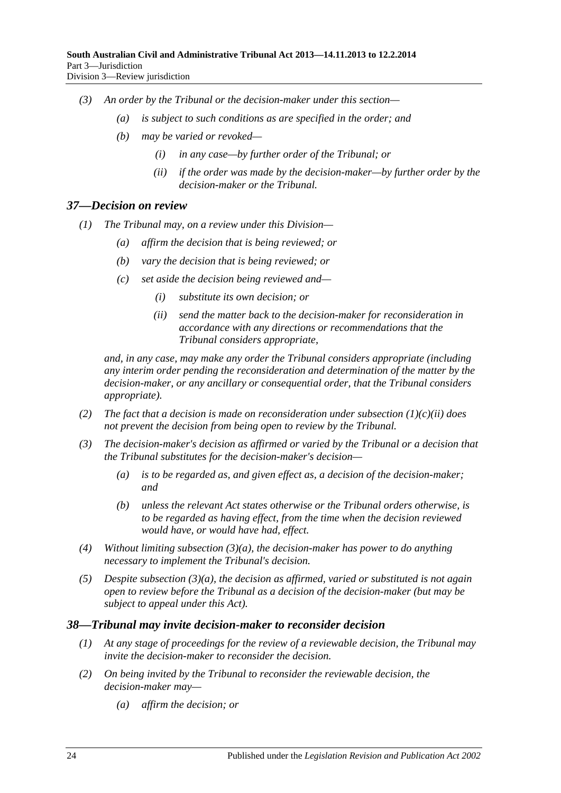- *(3) An order by the Tribunal or the decision-maker under this section—*
	- *(a) is subject to such conditions as are specified in the order; and*
	- *(b) may be varied or revoked—*
		- *(i) in any case—by further order of the Tribunal; or*
		- *(ii) if the order was made by the decision-maker—by further order by the decision-maker or the Tribunal.*

#### <span id="page-23-0"></span>*37—Decision on review*

- *(1) The Tribunal may, on a review under this Division—*
	- *(a) affirm the decision that is being reviewed; or*
	- *(b) vary the decision that is being reviewed; or*
	- *(c) set aside the decision being reviewed and—*
		- *(i) substitute its own decision; or*
		- *(ii) send the matter back to the decision-maker for reconsideration in accordance with any directions or recommendations that the Tribunal considers appropriate,*

<span id="page-23-2"></span>*and, in any case, may make any order the Tribunal considers appropriate (including any interim order pending the reconsideration and determination of the matter by the decision-maker, or any ancillary or consequential order, that the Tribunal considers appropriate).*

- *(2) The fact that a decision is made on reconsideration under [subsection](#page-23-2) (1)(c)(ii) does not prevent the decision from being open to review by the Tribunal.*
- <span id="page-23-3"></span>*(3) The decision-maker's decision as affirmed or varied by the Tribunal or a decision that the Tribunal substitutes for the decision-maker's decision—*
	- *(a) is to be regarded as, and given effect as, a decision of the decision-maker; and*
	- *(b) unless the relevant Act states otherwise or the Tribunal orders otherwise, is to be regarded as having effect, from the time when the decision reviewed would have, or would have had, effect.*
- *(4) Without limiting [subsection](#page-23-3) (3)(a), the decision-maker has power to do anything necessary to implement the Tribunal's decision.*
- *(5) Despite [subsection](#page-23-3) (3)(a), the decision as affirmed, varied or substituted is not again open to review before the Tribunal as a decision of the decision-maker (but may be subject to appeal under this Act).*

#### <span id="page-23-1"></span>*38—Tribunal may invite decision-maker to reconsider decision*

- *(1) At any stage of proceedings for the review of a reviewable decision, the Tribunal may invite the decision-maker to reconsider the decision.*
- *(2) On being invited by the Tribunal to reconsider the reviewable decision, the decision-maker may—*
	- *(a) affirm the decision; or*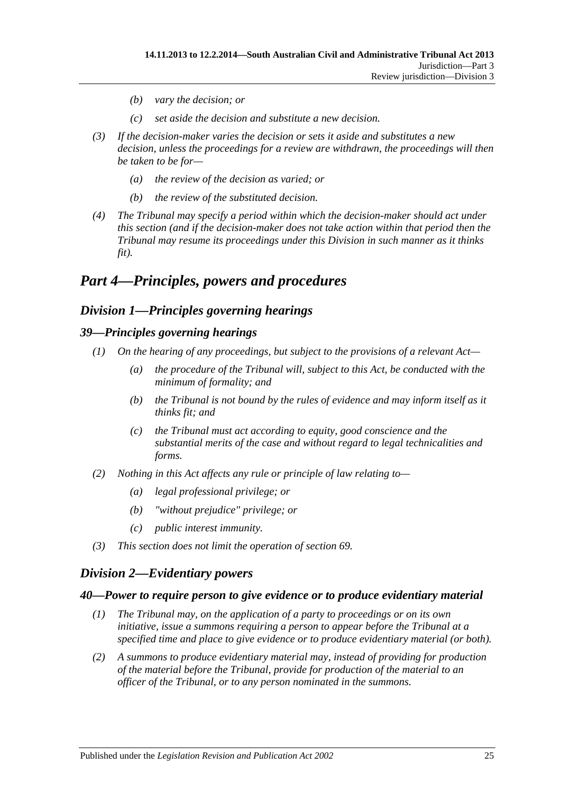- *(b) vary the decision; or*
- *(c) set aside the decision and substitute a new decision.*
- *(3) If the decision-maker varies the decision or sets it aside and substitutes a new decision, unless the proceedings for a review are withdrawn, the proceedings will then be taken to be for—*
	- *(a) the review of the decision as varied; or*
	- *(b) the review of the substituted decision.*
- *(4) The Tribunal may specify a period within which the decision-maker should act under this section (and if the decision-maker does not take action within that period then the Tribunal may resume its proceedings under this Division in such manner as it thinks fit).*

## <span id="page-24-1"></span><span id="page-24-0"></span>*Part 4—Principles, powers and procedures*

## *Division 1—Principles governing hearings*

#### <span id="page-24-2"></span>*39—Principles governing hearings*

- *(1) On the hearing of any proceedings, but subject to the provisions of a relevant Act—*
	- *(a) the procedure of the Tribunal will, subject to this Act, be conducted with the minimum of formality; and*
	- *(b) the Tribunal is not bound by the rules of evidence and may inform itself as it thinks fit; and*
	- *(c) the Tribunal must act according to equity, good conscience and the substantial merits of the case and without regard to legal technicalities and forms.*
- *(2) Nothing in this Act affects any rule or principle of law relating to—*
	- *(a) legal professional privilege; or*
	- *(b) "without prejudice" privilege; or*
	- *(c) public interest immunity.*
- *(3) This section does not limit the operation of [section](#page-37-2) 69.*

## <span id="page-24-3"></span>*Division 2—Evidentiary powers*

#### <span id="page-24-4"></span>*40—Power to require person to give evidence or to produce evidentiary material*

- *(1) The Tribunal may, on the application of a party to proceedings or on its own initiative, issue a summons requiring a person to appear before the Tribunal at a specified time and place to give evidence or to produce evidentiary material (or both).*
- *(2) A summons to produce evidentiary material may, instead of providing for production of the material before the Tribunal, provide for production of the material to an officer of the Tribunal, or to any person nominated in the summons.*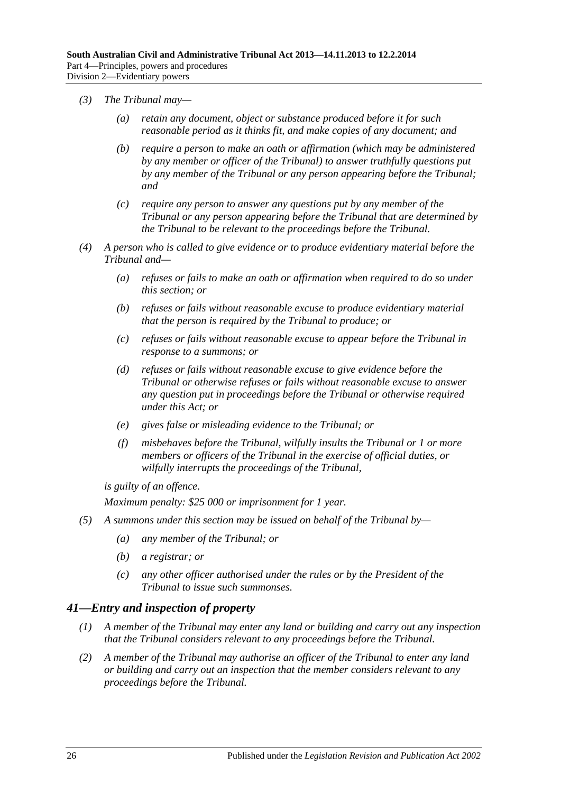- *(3) The Tribunal may—*
	- *(a) retain any document, object or substance produced before it for such reasonable period as it thinks fit, and make copies of any document; and*
	- *(b) require a person to make an oath or affirmation (which may be administered by any member or officer of the Tribunal) to answer truthfully questions put by any member of the Tribunal or any person appearing before the Tribunal; and*
	- *(c) require any person to answer any questions put by any member of the Tribunal or any person appearing before the Tribunal that are determined by the Tribunal to be relevant to the proceedings before the Tribunal.*
- *(4) A person who is called to give evidence or to produce evidentiary material before the Tribunal and—*
	- *(a) refuses or fails to make an oath or affirmation when required to do so under this section; or*
	- *(b) refuses or fails without reasonable excuse to produce evidentiary material that the person is required by the Tribunal to produce; or*
	- *(c) refuses or fails without reasonable excuse to appear before the Tribunal in response to a summons; or*
	- *(d) refuses or fails without reasonable excuse to give evidence before the Tribunal or otherwise refuses or fails without reasonable excuse to answer any question put in proceedings before the Tribunal or otherwise required under this Act; or*
	- *(e) gives false or misleading evidence to the Tribunal; or*
	- *(f) misbehaves before the Tribunal, wilfully insults the Tribunal or 1 or more members or officers of the Tribunal in the exercise of official duties, or wilfully interrupts the proceedings of the Tribunal,*

*is guilty of an offence.*

*Maximum penalty: \$25 000 or imprisonment for 1 year.*

- *(5) A summons under this section may be issued on behalf of the Tribunal by—*
	- *(a) any member of the Tribunal; or*
	- *(b) a registrar; or*
	- *(c) any other officer authorised under the rules or by the President of the Tribunal to issue such summonses.*

## <span id="page-25-0"></span>*41—Entry and inspection of property*

- *(1) A member of the Tribunal may enter any land or building and carry out any inspection that the Tribunal considers relevant to any proceedings before the Tribunal.*
- *(2) A member of the Tribunal may authorise an officer of the Tribunal to enter any land or building and carry out an inspection that the member considers relevant to any proceedings before the Tribunal.*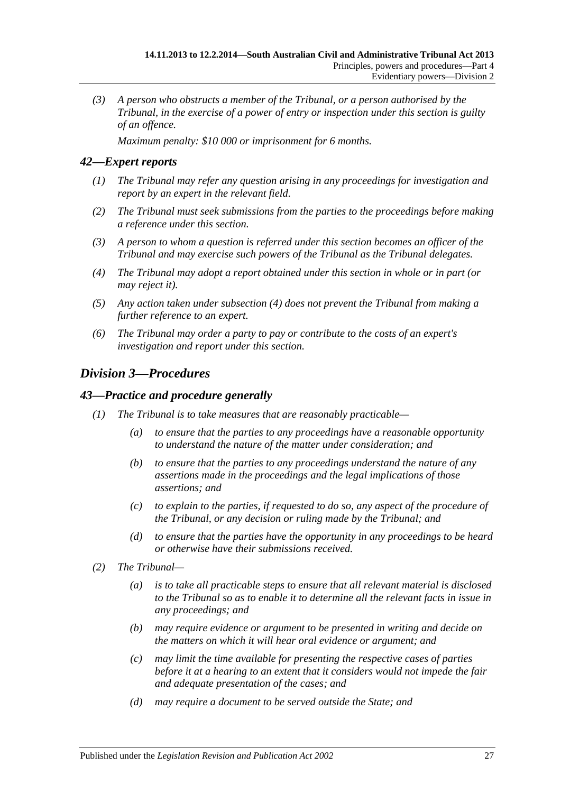*(3) A person who obstructs a member of the Tribunal, or a person authorised by the Tribunal, in the exercise of a power of entry or inspection under this section is guilty of an offence.*

*Maximum penalty: \$10 000 or imprisonment for 6 months.*

## <span id="page-26-0"></span>*42—Expert reports*

- *(1) The Tribunal may refer any question arising in any proceedings for investigation and report by an expert in the relevant field.*
- *(2) The Tribunal must seek submissions from the parties to the proceedings before making a reference under this section.*
- *(3) A person to whom a question is referred under this section becomes an officer of the Tribunal and may exercise such powers of the Tribunal as the Tribunal delegates.*
- <span id="page-26-3"></span>*(4) The Tribunal may adopt a report obtained under this section in whole or in part (or may reject it).*
- *(5) Any action taken under [subsection](#page-26-3) (4) does not prevent the Tribunal from making a further reference to an expert.*
- *(6) The Tribunal may order a party to pay or contribute to the costs of an expert's investigation and report under this section.*

## <span id="page-26-1"></span>*Division 3—Procedures*

### <span id="page-26-2"></span>*43—Practice and procedure generally*

- *(1) The Tribunal is to take measures that are reasonably practicable—*
	- *(a) to ensure that the parties to any proceedings have a reasonable opportunity to understand the nature of the matter under consideration; and*
	- *(b) to ensure that the parties to any proceedings understand the nature of any assertions made in the proceedings and the legal implications of those assertions; and*
	- *(c) to explain to the parties, if requested to do so, any aspect of the procedure of the Tribunal, or any decision or ruling made by the Tribunal; and*
	- *(d) to ensure that the parties have the opportunity in any proceedings to be heard or otherwise have their submissions received.*
- *(2) The Tribunal—*
	- *(a) is to take all practicable steps to ensure that all relevant material is disclosed to the Tribunal so as to enable it to determine all the relevant facts in issue in any proceedings; and*
	- *(b) may require evidence or argument to be presented in writing and decide on the matters on which it will hear oral evidence or argument; and*
	- *(c) may limit the time available for presenting the respective cases of parties before it at a hearing to an extent that it considers would not impede the fair and adequate presentation of the cases; and*
	- *(d) may require a document to be served outside the State; and*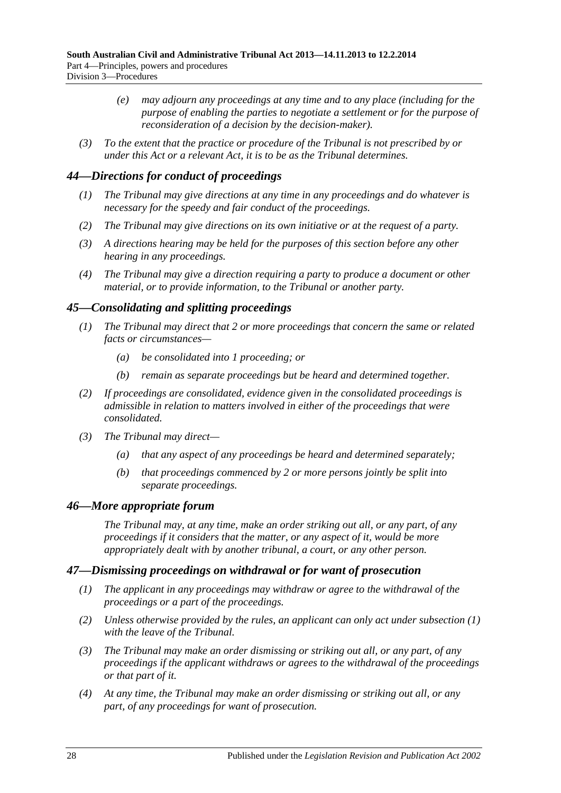- *(e) may adjourn any proceedings at any time and to any place (including for the purpose of enabling the parties to negotiate a settlement or for the purpose of reconsideration of a decision by the decision-maker).*
- *(3) To the extent that the practice or procedure of the Tribunal is not prescribed by or under this Act or a relevant Act, it is to be as the Tribunal determines.*

## <span id="page-27-0"></span>*44—Directions for conduct of proceedings*

- *(1) The Tribunal may give directions at any time in any proceedings and do whatever is necessary for the speedy and fair conduct of the proceedings.*
- *(2) The Tribunal may give directions on its own initiative or at the request of a party.*
- *(3) A directions hearing may be held for the purposes of this section before any other hearing in any proceedings.*
- *(4) The Tribunal may give a direction requiring a party to produce a document or other material, or to provide information, to the Tribunal or another party.*

## <span id="page-27-1"></span>*45—Consolidating and splitting proceedings*

- *(1) The Tribunal may direct that 2 or more proceedings that concern the same or related facts or circumstances—*
	- *(a) be consolidated into 1 proceeding; or*
	- *(b) remain as separate proceedings but be heard and determined together.*
- *(2) If proceedings are consolidated, evidence given in the consolidated proceedings is admissible in relation to matters involved in either of the proceedings that were consolidated.*
- *(3) The Tribunal may direct—*
	- *(a) that any aspect of any proceedings be heard and determined separately;*
	- *(b) that proceedings commenced by 2 or more persons jointly be split into separate proceedings.*

## <span id="page-27-2"></span>*46—More appropriate forum*

*The Tribunal may, at any time, make an order striking out all, or any part, of any proceedings if it considers that the matter, or any aspect of it, would be more appropriately dealt with by another tribunal, a court, or any other person.*

## <span id="page-27-4"></span><span id="page-27-3"></span>*47—Dismissing proceedings on withdrawal or for want of prosecution*

- *(1) The applicant in any proceedings may withdraw or agree to the withdrawal of the proceedings or a part of the proceedings.*
- *(2) Unless otherwise provided by the rules, an applicant can only act under [subsection](#page-27-4) (1) with the leave of the Tribunal.*
- *(3) The Tribunal may make an order dismissing or striking out all, or any part, of any proceedings if the applicant withdraws or agrees to the withdrawal of the proceedings or that part of it.*
- <span id="page-27-5"></span>*(4) At any time, the Tribunal may make an order dismissing or striking out all, or any part, of any proceedings for want of prosecution.*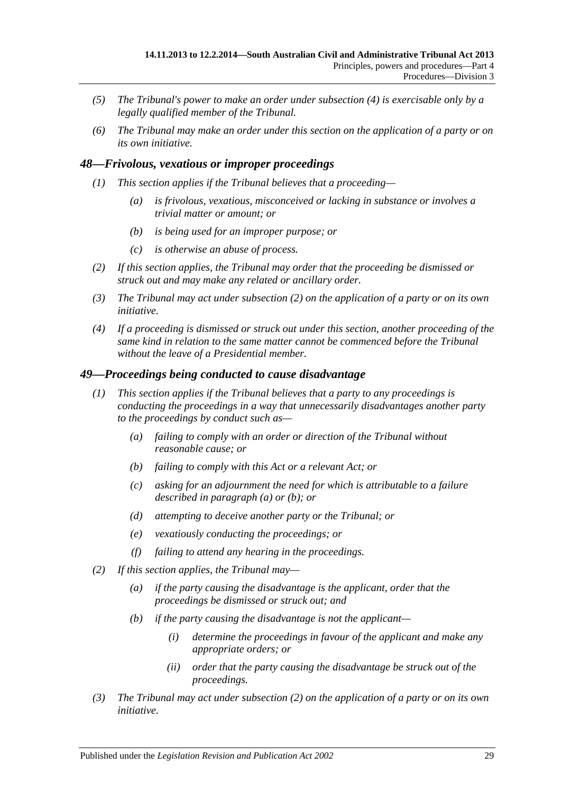- *(5) The Tribunal's power to make an order under [subsection](#page-27-5) (4) is exercisable only by a legally qualified member of the Tribunal.*
- *(6) The Tribunal may make an order under this section on the application of a party or on its own initiative.*

## <span id="page-28-0"></span>*48—Frivolous, vexatious or improper proceedings*

- *(1) This section applies if the Tribunal believes that a proceeding—*
	- *(a) is frivolous, vexatious, misconceived or lacking in substance or involves a trivial matter or amount; or*
	- *(b) is being used for an improper purpose; or*
	- *(c) is otherwise an abuse of process.*
- <span id="page-28-2"></span>*(2) If this section applies, the Tribunal may order that the proceeding be dismissed or struck out and may make any related or ancillary order.*
- *(3) The Tribunal may act under [subsection](#page-28-2) (2) on the application of a party or on its own initiative.*
- *(4) If a proceeding is dismissed or struck out under this section, another proceeding of the same kind in relation to the same matter cannot be commenced before the Tribunal without the leave of a Presidential member.*

#### <span id="page-28-1"></span>*49—Proceedings being conducted to cause disadvantage*

- <span id="page-28-4"></span><span id="page-28-3"></span>*(1) This section applies if the Tribunal believes that a party to any proceedings is conducting the proceedings in a way that unnecessarily disadvantages another party to the proceedings by conduct such as—*
	- *(a) failing to comply with an order or direction of the Tribunal without reasonable cause; or*
	- *(b) failing to comply with this Act or a relevant Act; or*
	- *(c) asking for an adjournment the need for which is attributable to a failure described in [paragraph](#page-28-3) (a) or [\(b\);](#page-28-4) or*
	- *(d) attempting to deceive another party or the Tribunal; or*
	- *(e) vexatiously conducting the proceedings; or*
	- *(f) failing to attend any hearing in the proceedings.*
- <span id="page-28-5"></span>*(2) If this section applies, the Tribunal may—*
	- *(a) if the party causing the disadvantage is the applicant, order that the proceedings be dismissed or struck out; and*
	- *(b) if the party causing the disadvantage is not the applicant—*
		- *(i) determine the proceedings in favour of the applicant and make any appropriate orders; or*
		- *(ii) order that the party causing the disadvantage be struck out of the proceedings.*
- *(3) The Tribunal may act under [subsection](#page-28-5) (2) on the application of a party or on its own initiative.*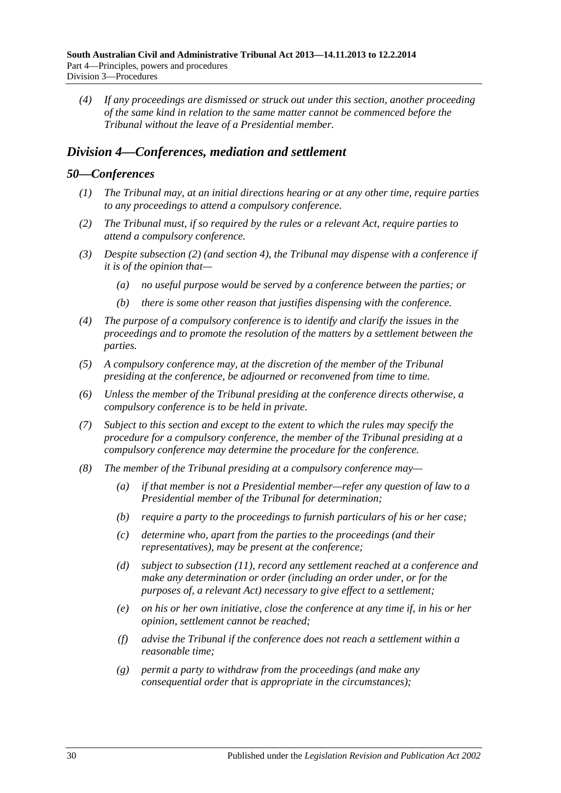*(4) If any proceedings are dismissed or struck out under this section, another proceeding of the same kind in relation to the same matter cannot be commenced before the Tribunal without the leave of a Presidential member.*

## <span id="page-29-0"></span>*Division 4—Conferences, mediation and settlement*

#### <span id="page-29-1"></span>*50—Conferences*

- *(1) The Tribunal may, at an initial directions hearing or at any other time, require parties to any proceedings to attend a compulsory conference.*
- <span id="page-29-2"></span>*(2) The Tribunal must, if so required by the rules or a relevant Act, require parties to attend a compulsory conference.*
- *(3) Despite [subsection](#page-29-2) (2) (and [section](#page-5-0) 4), the Tribunal may dispense with a conference if it is of the opinion that—*
	- *(a) no useful purpose would be served by a conference between the parties; or*
	- *(b) there is some other reason that justifies dispensing with the conference.*
- *(4) The purpose of a compulsory conference is to identify and clarify the issues in the proceedings and to promote the resolution of the matters by a settlement between the parties.*
- *(5) A compulsory conference may, at the discretion of the member of the Tribunal presiding at the conference, be adjourned or reconvened from time to time.*
- *(6) Unless the member of the Tribunal presiding at the conference directs otherwise, a compulsory conference is to be held in private.*
- *(7) Subject to this section and except to the extent to which the rules may specify the procedure for a compulsory conference, the member of the Tribunal presiding at a compulsory conference may determine the procedure for the conference.*
- <span id="page-29-3"></span>*(8) The member of the Tribunal presiding at a compulsory conference may—*
	- *(a) if that member is not a Presidential member—refer any question of law to a Presidential member of the Tribunal for determination;*
	- *(b) require a party to the proceedings to furnish particulars of his or her case;*
	- *(c) determine who, apart from the parties to the proceedings (and their representatives), may be present at the conference;*
	- *(d) subject to [subsection](#page-30-1) (11), record any settlement reached at a conference and make any determination or order (including an order under, or for the purposes of, a relevant Act) necessary to give effect to a settlement;*
	- *(e) on his or her own initiative, close the conference at any time if, in his or her opinion, settlement cannot be reached;*
	- *(f) advise the Tribunal if the conference does not reach a settlement within a reasonable time;*
	- *(g) permit a party to withdraw from the proceedings (and make any consequential order that is appropriate in the circumstances);*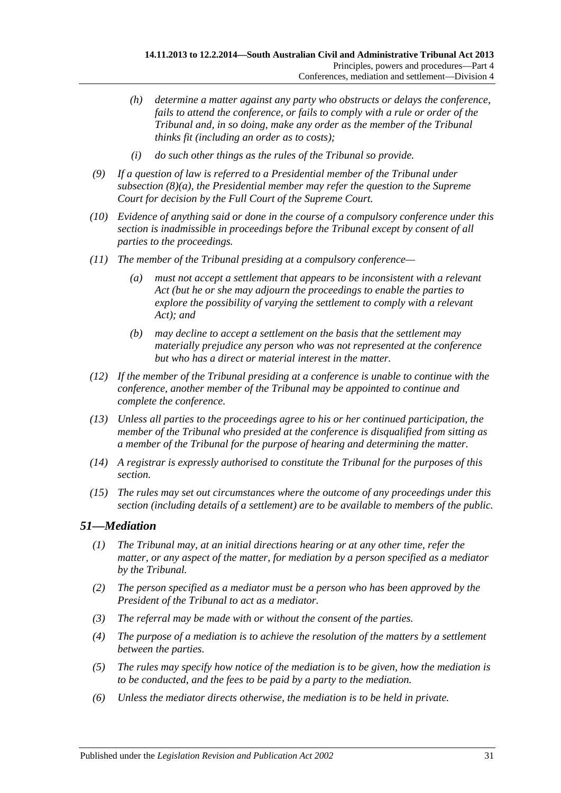- *(h) determine a matter against any party who obstructs or delays the conference, fails to attend the conference, or fails to comply with a rule or order of the Tribunal and, in so doing, make any order as the member of the Tribunal thinks fit (including an order as to costs);*
- *(i) do such other things as the rules of the Tribunal so provide.*
- *(9) If a question of law is referred to a Presidential member of the Tribunal under [subsection](#page-29-3) (8)(a), the Presidential member may refer the question to the Supreme Court for decision by the Full Court of the Supreme Court.*
- *(10) Evidence of anything said or done in the course of a compulsory conference under this section is inadmissible in proceedings before the Tribunal except by consent of all parties to the proceedings.*
- <span id="page-30-1"></span>*(11) The member of the Tribunal presiding at a compulsory conference—*
	- *(a) must not accept a settlement that appears to be inconsistent with a relevant Act (but he or she may adjourn the proceedings to enable the parties to explore the possibility of varying the settlement to comply with a relevant Act); and*
	- *(b) may decline to accept a settlement on the basis that the settlement may materially prejudice any person who was not represented at the conference but who has a direct or material interest in the matter.*
- *(12) If the member of the Tribunal presiding at a conference is unable to continue with the conference, another member of the Tribunal may be appointed to continue and complete the conference.*
- *(13) Unless all parties to the proceedings agree to his or her continued participation, the member of the Tribunal who presided at the conference is disqualified from sitting as a member of the Tribunal for the purpose of hearing and determining the matter.*
- *(14) A registrar is expressly authorised to constitute the Tribunal for the purposes of this section.*
- *(15) The rules may set out circumstances where the outcome of any proceedings under this section (including details of a settlement) are to be available to members of the public.*

## <span id="page-30-0"></span>*51—Mediation*

- *(1) The Tribunal may, at an initial directions hearing or at any other time, refer the matter, or any aspect of the matter, for mediation by a person specified as a mediator by the Tribunal.*
- *(2) The person specified as a mediator must be a person who has been approved by the President of the Tribunal to act as a mediator.*
- *(3) The referral may be made with or without the consent of the parties.*
- *(4) The purpose of a mediation is to achieve the resolution of the matters by a settlement between the parties.*
- *(5) The rules may specify how notice of the mediation is to be given, how the mediation is to be conducted, and the fees to be paid by a party to the mediation.*
- *(6) Unless the mediator directs otherwise, the mediation is to be held in private.*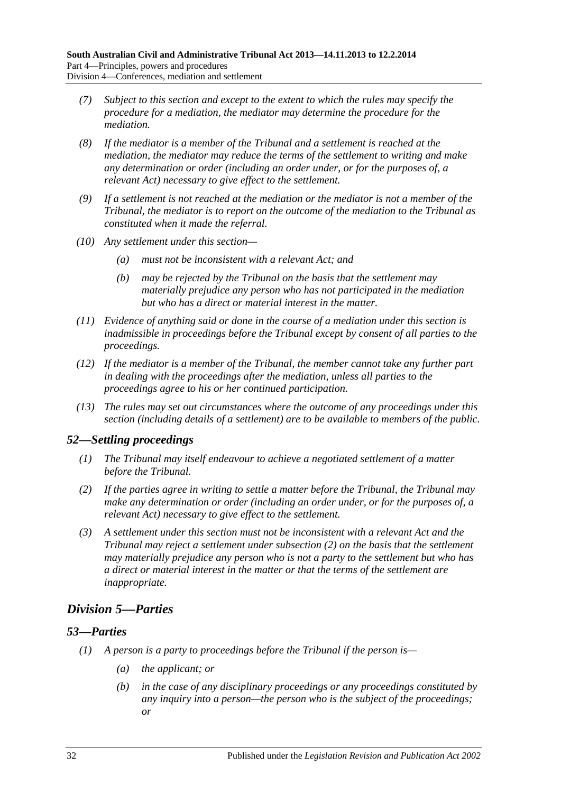- *(7) Subject to this section and except to the extent to which the rules may specify the procedure for a mediation, the mediator may determine the procedure for the mediation.*
- *(8) If the mediator is a member of the Tribunal and a settlement is reached at the mediation, the mediator may reduce the terms of the settlement to writing and make any determination or order (including an order under, or for the purposes of, a relevant Act) necessary to give effect to the settlement.*
- *(9) If a settlement is not reached at the mediation or the mediator is not a member of the Tribunal, the mediator is to report on the outcome of the mediation to the Tribunal as constituted when it made the referral.*
- *(10) Any settlement under this section—*
	- *(a) must not be inconsistent with a relevant Act; and*
	- *(b) may be rejected by the Tribunal on the basis that the settlement may materially prejudice any person who has not participated in the mediation but who has a direct or material interest in the matter.*
- *(11) Evidence of anything said or done in the course of a mediation under this section is inadmissible in proceedings before the Tribunal except by consent of all parties to the proceedings.*
- *(12) If the mediator is a member of the Tribunal, the member cannot take any further part in dealing with the proceedings after the mediation, unless all parties to the proceedings agree to his or her continued participation.*
- *(13) The rules may set out circumstances where the outcome of any proceedings under this section (including details of a settlement) are to be available to members of the public.*

## <span id="page-31-0"></span>*52—Settling proceedings*

- *(1) The Tribunal may itself endeavour to achieve a negotiated settlement of a matter before the Tribunal.*
- <span id="page-31-3"></span>*(2) If the parties agree in writing to settle a matter before the Tribunal, the Tribunal may make any determination or order (including an order under, or for the purposes of, a relevant Act) necessary to give effect to the settlement.*
- *(3) A settlement under this section must not be inconsistent with a relevant Act and the Tribunal may reject a settlement under [subsection](#page-31-3) (2) on the basis that the settlement may materially prejudice any person who is not a party to the settlement but who has a direct or material interest in the matter or that the terms of the settlement are inappropriate.*

## <span id="page-31-1"></span>*Division 5—Parties*

## <span id="page-31-4"></span><span id="page-31-2"></span>*53—Parties*

- *(1) A person is a party to proceedings before the Tribunal if the person is—*
	- *(a) the applicant; or*
	- *(b) in the case of any disciplinary proceedings or any proceedings constituted by any inquiry into a person—the person who is the subject of the proceedings; or*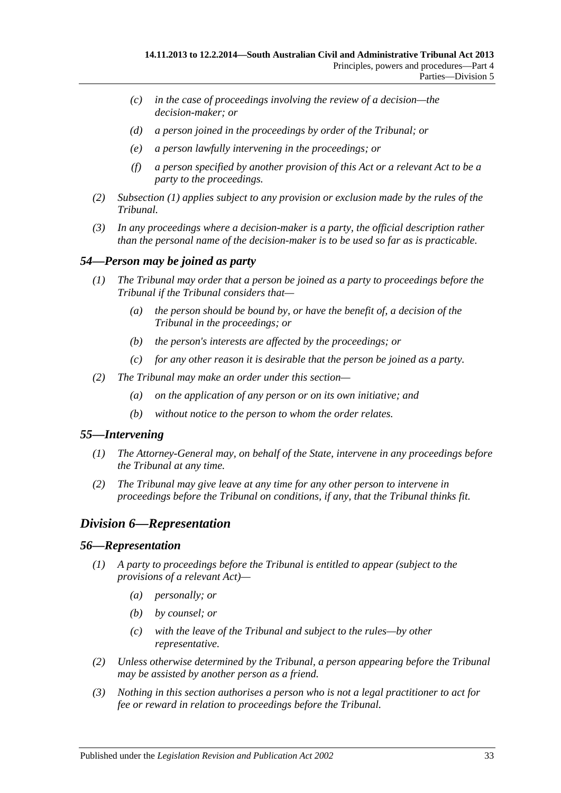- *(c) in the case of proceedings involving the review of a decision—the decision-maker; or*
- *(d) a person joined in the proceedings by order of the Tribunal; or*
- *(e) a person lawfully intervening in the proceedings; or*
- *(f) a person specified by another provision of this Act or a relevant Act to be a party to the proceedings.*
- *(2) [Subsection](#page-31-4) (1) applies subject to any provision or exclusion made by the rules of the Tribunal.*
- *(3) In any proceedings where a decision-maker is a party, the official description rather than the personal name of the decision-maker is to be used so far as is practicable.*

## <span id="page-32-0"></span>*54—Person may be joined as party*

- *(1) The Tribunal may order that a person be joined as a party to proceedings before the Tribunal if the Tribunal considers that—*
	- *(a) the person should be bound by, or have the benefit of, a decision of the Tribunal in the proceedings; or*
	- *(b) the person's interests are affected by the proceedings; or*
	- *(c) for any other reason it is desirable that the person be joined as a party.*
- *(2) The Tribunal may make an order under this section—*
	- *(a) on the application of any person or on its own initiative; and*
	- *(b) without notice to the person to whom the order relates.*

## <span id="page-32-1"></span>*55—Intervening*

- *(1) The Attorney-General may, on behalf of the State, intervene in any proceedings before the Tribunal at any time.*
- *(2) The Tribunal may give leave at any time for any other person to intervene in proceedings before the Tribunal on conditions, if any, that the Tribunal thinks fit.*

## <span id="page-32-2"></span>*Division 6—Representation*

#### <span id="page-32-3"></span>*56—Representation*

- *(1) A party to proceedings before the Tribunal is entitled to appear (subject to the provisions of a relevant Act)—*
	- *(a) personally; or*
	- *(b) by counsel; or*
	- *(c) with the leave of the Tribunal and subject to the rules—by other representative.*
- *(2) Unless otherwise determined by the Tribunal, a person appearing before the Tribunal may be assisted by another person as a friend.*
- *(3) Nothing in this section authorises a person who is not a legal practitioner to act for fee or reward in relation to proceedings before the Tribunal.*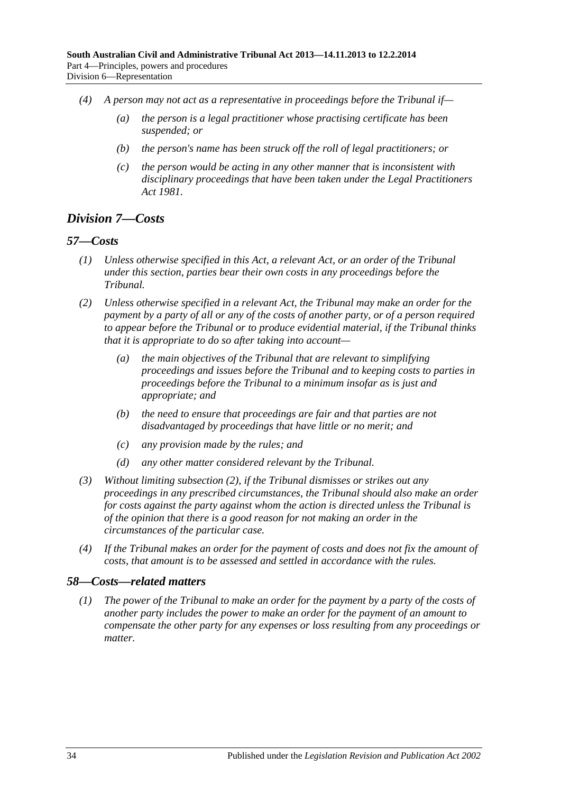- *(4) A person may not act as a representative in proceedings before the Tribunal if—*
	- *(a) the person is a legal practitioner whose practising certificate has been suspended; or*
	- *(b) the person's name has been struck off the roll of legal practitioners; or*
	- *(c) the person would be acting in any other manner that is inconsistent with disciplinary proceedings that have been taken under the [Legal Practitioners](http://www.legislation.sa.gov.au/index.aspx?action=legref&type=act&legtitle=Legal%20Practitioners%20Act%201981)  Act [1981.](http://www.legislation.sa.gov.au/index.aspx?action=legref&type=act&legtitle=Legal%20Practitioners%20Act%201981)*

## <span id="page-33-0"></span>*Division 7—Costs*

#### <span id="page-33-1"></span>*57—Costs*

- *(1) Unless otherwise specified in this Act, a relevant Act, or an order of the Tribunal under this section, parties bear their own costs in any proceedings before the Tribunal.*
- <span id="page-33-3"></span>*(2) Unless otherwise specified in a relevant Act, the Tribunal may make an order for the payment by a party of all or any of the costs of another party, or of a person required to appear before the Tribunal or to produce evidential material, if the Tribunal thinks that it is appropriate to do so after taking into account—*
	- *(a) the main objectives of the Tribunal that are relevant to simplifying proceedings and issues before the Tribunal and to keeping costs to parties in proceedings before the Tribunal to a minimum insofar as is just and appropriate; and*
	- *(b) the need to ensure that proceedings are fair and that parties are not disadvantaged by proceedings that have little or no merit; and*
	- *(c) any provision made by the rules; and*
	- *(d) any other matter considered relevant by the Tribunal.*
- *(3) Without limiting [subsection](#page-33-3) (2), if the Tribunal dismisses or strikes out any proceedings in any prescribed circumstances, the Tribunal should also make an order for costs against the party against whom the action is directed unless the Tribunal is of the opinion that there is a good reason for not making an order in the circumstances of the particular case.*
- *(4) If the Tribunal makes an order for the payment of costs and does not fix the amount of costs, that amount is to be assessed and settled in accordance with the rules.*

## <span id="page-33-2"></span>*58—Costs—related matters*

*(1) The power of the Tribunal to make an order for the payment by a party of the costs of another party includes the power to make an order for the payment of an amount to compensate the other party for any expenses or loss resulting from any proceedings or matter.*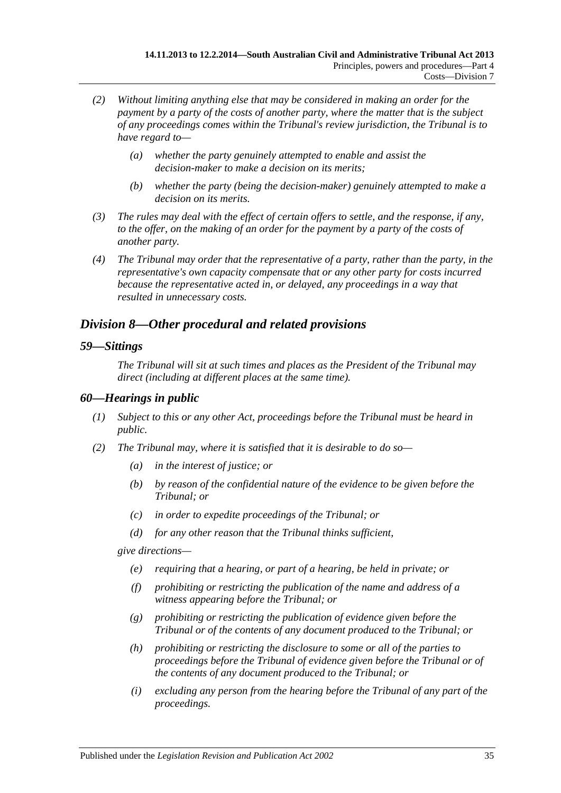- *(2) Without limiting anything else that may be considered in making an order for the payment by a party of the costs of another party, where the matter that is the subject of any proceedings comes within the Tribunal's review jurisdiction, the Tribunal is to have regard to—*
	- *(a) whether the party genuinely attempted to enable and assist the decision-maker to make a decision on its merits;*
	- *(b) whether the party (being the decision-maker) genuinely attempted to make a decision on its merits.*
- *(3) The rules may deal with the effect of certain offers to settle, and the response, if any, to the offer, on the making of an order for the payment by a party of the costs of another party.*
- *(4) The Tribunal may order that the representative of a party, rather than the party, in the representative's own capacity compensate that or any other party for costs incurred because the representative acted in, or delayed, any proceedings in a way that resulted in unnecessary costs.*

## <span id="page-34-0"></span>*Division 8—Other procedural and related provisions*

#### <span id="page-34-1"></span>*59—Sittings*

*The Tribunal will sit at such times and places as the President of the Tribunal may direct (including at different places at the same time).*

### <span id="page-34-2"></span>*60—Hearings in public*

- *(1) Subject to this or any other Act, proceedings before the Tribunal must be heard in public.*
- <span id="page-34-3"></span>*(2) The Tribunal may, where it is satisfied that it is desirable to do so—*
	- *(a) in the interest of justice; or*
	- *(b) by reason of the confidential nature of the evidence to be given before the Tribunal; or*
	- *(c) in order to expedite proceedings of the Tribunal; or*
	- *(d) for any other reason that the Tribunal thinks sufficient,*

*give directions—*

- *(e) requiring that a hearing, or part of a hearing, be held in private; or*
- *(f) prohibiting or restricting the publication of the name and address of a witness appearing before the Tribunal; or*
- *(g) prohibiting or restricting the publication of evidence given before the Tribunal or of the contents of any document produced to the Tribunal; or*
- *(h) prohibiting or restricting the disclosure to some or all of the parties to proceedings before the Tribunal of evidence given before the Tribunal or of the contents of any document produced to the Tribunal; or*
- *(i) excluding any person from the hearing before the Tribunal of any part of the proceedings.*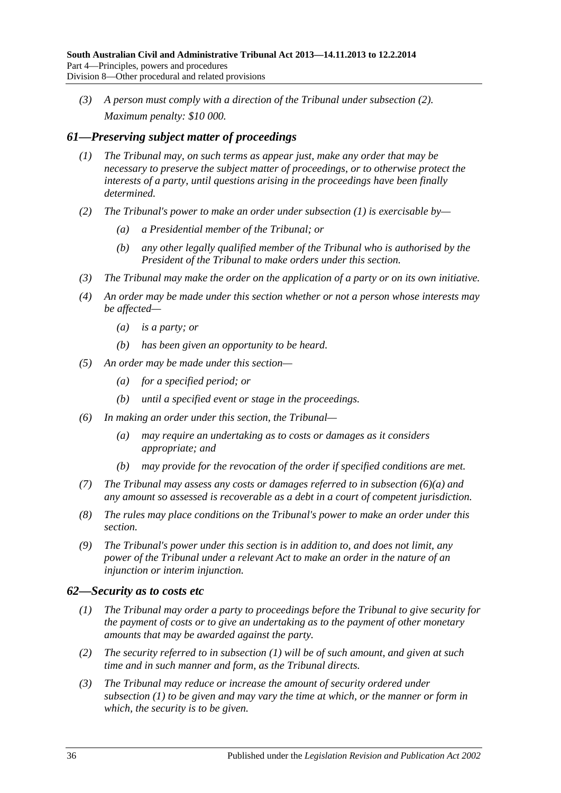*(3) A person must comply with a direction of the Tribunal under [subsection](#page-34-3) (2). Maximum penalty: \$10 000.*

## <span id="page-35-2"></span><span id="page-35-0"></span>*61—Preserving subject matter of proceedings*

- *(1) The Tribunal may, on such terms as appear just, make any order that may be necessary to preserve the subject matter of proceedings, or to otherwise protect the interests of a party, until questions arising in the proceedings have been finally determined.*
- *(2) The Tribunal's power to make an order under [subsection](#page-35-2) (1) is exercisable by—*
	- *(a) a Presidential member of the Tribunal; or*
	- *(b) any other legally qualified member of the Tribunal who is authorised by the President of the Tribunal to make orders under this section.*
- *(3) The Tribunal may make the order on the application of a party or on its own initiative.*
- *(4) An order may be made under this section whether or not a person whose interests may be affected—*
	- *(a) is a party; or*
	- *(b) has been given an opportunity to be heard.*
- *(5) An order may be made under this section—*
	- *(a) for a specified period; or*
	- *(b) until a specified event or stage in the proceedings.*
- <span id="page-35-3"></span>*(6) In making an order under this section, the Tribunal—*
	- *(a) may require an undertaking as to costs or damages as it considers appropriate; and*
	- *(b) may provide for the revocation of the order if specified conditions are met.*
- *(7) The Tribunal may assess any costs or damages referred to in [subsection](#page-35-3) (6)(a) and any amount so assessed is recoverable as a debt in a court of competent jurisdiction.*
- *(8) The rules may place conditions on the Tribunal's power to make an order under this section.*
- *(9) The Tribunal's power under this section is in addition to, and does not limit, any power of the Tribunal under a relevant Act to make an order in the nature of an injunction or interim injunction.*

## <span id="page-35-4"></span><span id="page-35-1"></span>*62—Security as to costs etc*

- *(1) The Tribunal may order a party to proceedings before the Tribunal to give security for the payment of costs or to give an undertaking as to the payment of other monetary amounts that may be awarded against the party.*
- *(2) The security referred to in [subsection](#page-35-4) (1) will be of such amount, and given at such time and in such manner and form, as the Tribunal directs.*
- *(3) The Tribunal may reduce or increase the amount of security ordered under [subsection](#page-35-4) (1) to be given and may vary the time at which, or the manner or form in which, the security is to be given.*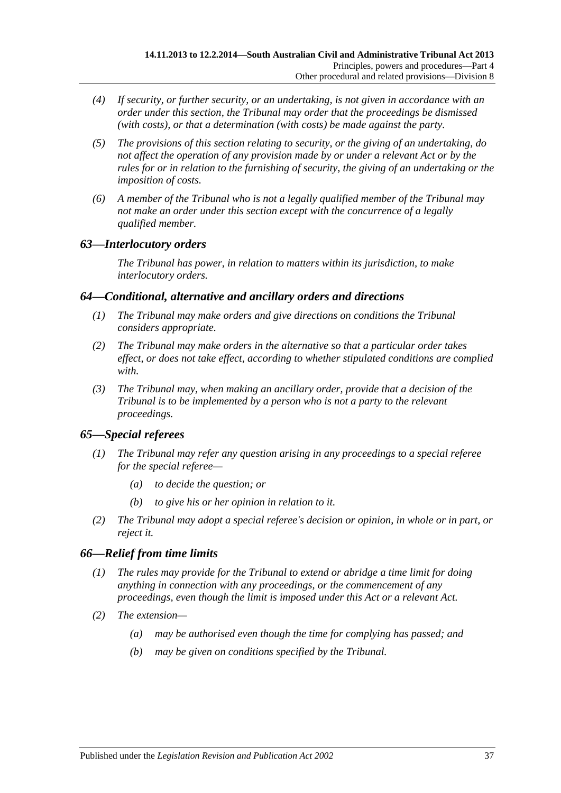- *(4) If security, or further security, or an undertaking, is not given in accordance with an order under this section, the Tribunal may order that the proceedings be dismissed (with costs), or that a determination (with costs) be made against the party.*
- *(5) The provisions of this section relating to security, or the giving of an undertaking, do not affect the operation of any provision made by or under a relevant Act or by the rules for or in relation to the furnishing of security, the giving of an undertaking or the imposition of costs.*
- *(6) A member of the Tribunal who is not a legally qualified member of the Tribunal may not make an order under this section except with the concurrence of a legally qualified member.*

## <span id="page-36-0"></span>*63—Interlocutory orders*

*The Tribunal has power, in relation to matters within its jurisdiction, to make interlocutory orders.*

## <span id="page-36-1"></span>*64—Conditional, alternative and ancillary orders and directions*

- *(1) The Tribunal may make orders and give directions on conditions the Tribunal considers appropriate.*
- *(2) The Tribunal may make orders in the alternative so that a particular order takes effect, or does not take effect, according to whether stipulated conditions are complied with.*
- *(3) The Tribunal may, when making an ancillary order, provide that a decision of the Tribunal is to be implemented by a person who is not a party to the relevant proceedings.*

## <span id="page-36-2"></span>*65—Special referees*

- *(1) The Tribunal may refer any question arising in any proceedings to a special referee for the special referee—*
	- *(a) to decide the question; or*
	- *(b) to give his or her opinion in relation to it.*
- *(2) The Tribunal may adopt a special referee's decision or opinion, in whole or in part, or reject it.*

## <span id="page-36-3"></span>*66—Relief from time limits*

- *(1) The rules may provide for the Tribunal to extend or abridge a time limit for doing anything in connection with any proceedings, or the commencement of any proceedings, even though the limit is imposed under this Act or a relevant Act.*
- *(2) The extension—*
	- *(a) may be authorised even though the time for complying has passed; and*
	- *(b) may be given on conditions specified by the Tribunal.*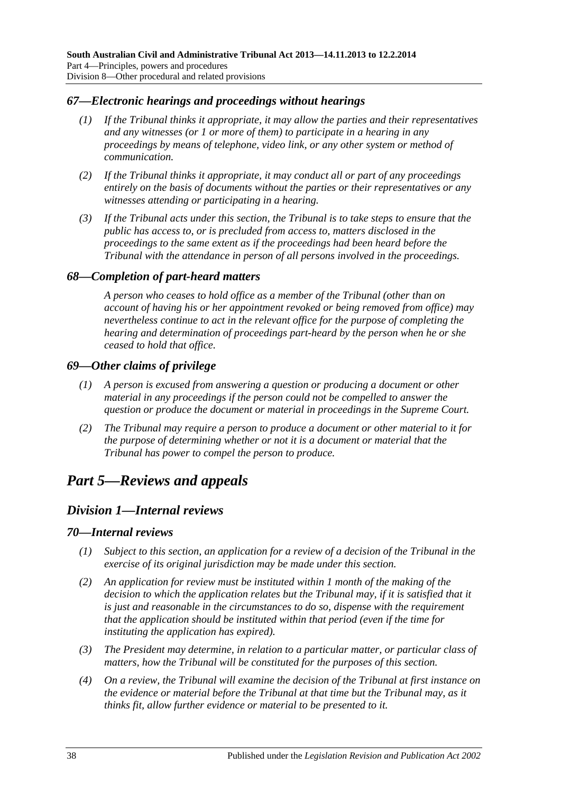### <span id="page-37-0"></span>*67—Electronic hearings and proceedings without hearings*

- *(1) If the Tribunal thinks it appropriate, it may allow the parties and their representatives and any witnesses (or 1 or more of them) to participate in a hearing in any proceedings by means of telephone, video link, or any other system or method of communication.*
- *(2) If the Tribunal thinks it appropriate, it may conduct all or part of any proceedings entirely on the basis of documents without the parties or their representatives or any witnesses attending or participating in a hearing.*
- *(3) If the Tribunal acts under this section, the Tribunal is to take steps to ensure that the public has access to, or is precluded from access to, matters disclosed in the proceedings to the same extent as if the proceedings had been heard before the Tribunal with the attendance in person of all persons involved in the proceedings.*

#### <span id="page-37-1"></span>*68—Completion of part-heard matters*

*A person who ceases to hold office as a member of the Tribunal (other than on account of having his or her appointment revoked or being removed from office) may nevertheless continue to act in the relevant office for the purpose of completing the hearing and determination of proceedings part-heard by the person when he or she ceased to hold that office.*

#### <span id="page-37-2"></span>*69—Other claims of privilege*

- *(1) A person is excused from answering a question or producing a document or other material in any proceedings if the person could not be compelled to answer the question or produce the document or material in proceedings in the Supreme Court.*
- *(2) The Tribunal may require a person to produce a document or other material to it for the purpose of determining whether or not it is a document or material that the Tribunal has power to compel the person to produce.*

## <span id="page-37-4"></span><span id="page-37-3"></span>*Part 5—Reviews and appeals*

## *Division 1—Internal reviews*

#### <span id="page-37-5"></span>*70—Internal reviews*

- *(1) Subject to this section, an application for a review of a decision of the Tribunal in the exercise of its original jurisdiction may be made under this section.*
- *(2) An application for review must be instituted within 1 month of the making of the decision to which the application relates but the Tribunal may, if it is satisfied that it is just and reasonable in the circumstances to do so, dispense with the requirement that the application should be instituted within that period (even if the time for instituting the application has expired).*
- *(3) The President may determine, in relation to a particular matter, or particular class of matters, how the Tribunal will be constituted for the purposes of this section.*
- *(4) On a review, the Tribunal will examine the decision of the Tribunal at first instance on the evidence or material before the Tribunal at that time but the Tribunal may, as it thinks fit, allow further evidence or material to be presented to it.*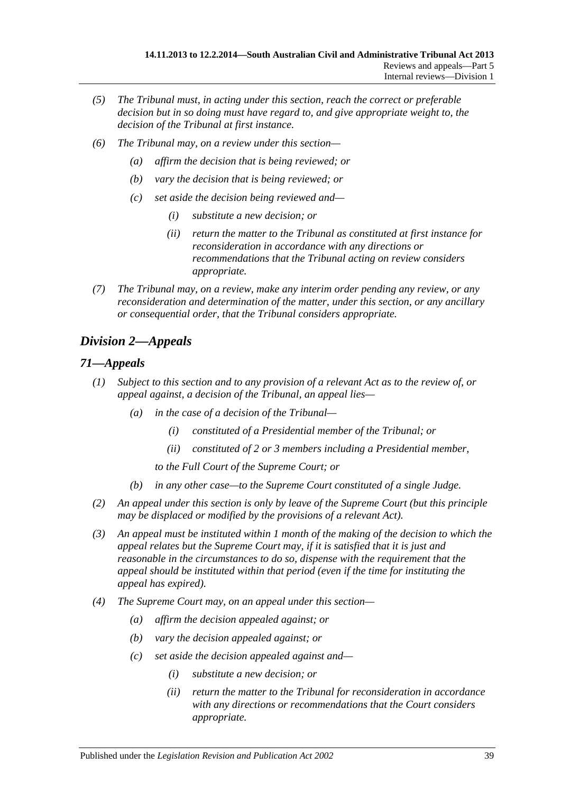- *(5) The Tribunal must, in acting under this section, reach the correct or preferable decision but in so doing must have regard to, and give appropriate weight to, the decision of the Tribunal at first instance.*
- *(6) The Tribunal may, on a review under this section—*
	- *(a) affirm the decision that is being reviewed; or*
	- *(b) vary the decision that is being reviewed; or*
	- *(c) set aside the decision being reviewed and—*
		- *(i) substitute a new decision; or*
		- *(ii) return the matter to the Tribunal as constituted at first instance for reconsideration in accordance with any directions or recommendations that the Tribunal acting on review considers appropriate.*
- *(7) The Tribunal may, on a review, make any interim order pending any review, or any reconsideration and determination of the matter, under this section, or any ancillary or consequential order, that the Tribunal considers appropriate.*

## <span id="page-38-0"></span>*Division 2—Appeals*

## <span id="page-38-1"></span>*71—Appeals*

- *(1) Subject to this section and to any provision of a relevant Act as to the review of, or appeal against, a decision of the Tribunal, an appeal lies—*
	- *(a) in the case of a decision of the Tribunal—*
		- *(i) constituted of a Presidential member of the Tribunal; or*
		- *(ii) constituted of 2 or 3 members including a Presidential member,*
		- *to the Full Court of the Supreme Court; or*
	- *(b) in any other case—to the Supreme Court constituted of a single Judge.*
- *(2) An appeal under this section is only by leave of the Supreme Court (but this principle may be displaced or modified by the provisions of a relevant Act).*
- *(3) An appeal must be instituted within 1 month of the making of the decision to which the appeal relates but the Supreme Court may, if it is satisfied that it is just and reasonable in the circumstances to do so, dispense with the requirement that the appeal should be instituted within that period (even if the time for instituting the appeal has expired).*
- *(4) The Supreme Court may, on an appeal under this section—*
	- *(a) affirm the decision appealed against; or*
	- *(b) vary the decision appealed against; or*
	- *(c) set aside the decision appealed against and—*
		- *(i) substitute a new decision; or*
		- *(ii) return the matter to the Tribunal for reconsideration in accordance with any directions or recommendations that the Court considers appropriate.*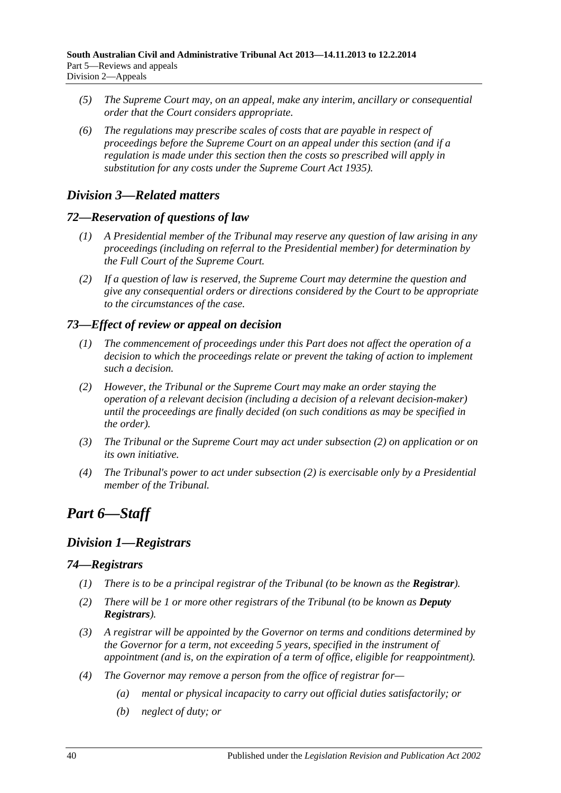- *(5) The Supreme Court may, on an appeal, make any interim, ancillary or consequential order that the Court considers appropriate.*
- *(6) The regulations may prescribe scales of costs that are payable in respect of proceedings before the Supreme Court on an appeal under this section (and if a regulation is made under this section then the costs so prescribed will apply in substitution for any costs under the [Supreme Court Act](http://www.legislation.sa.gov.au/index.aspx?action=legref&type=act&legtitle=Supreme%20Court%20Act%201935) 1935).*

## <span id="page-39-0"></span>*Division 3—Related matters*

## <span id="page-39-1"></span>*72—Reservation of questions of law*

- *(1) A Presidential member of the Tribunal may reserve any question of law arising in any proceedings (including on referral to the Presidential member) for determination by the Full Court of the Supreme Court.*
- *(2) If a question of law is reserved, the Supreme Court may determine the question and give any consequential orders or directions considered by the Court to be appropriate to the circumstances of the case.*

## <span id="page-39-2"></span>*73—Effect of review or appeal on decision*

- *(1) The commencement of proceedings under this Part does not affect the operation of a decision to which the proceedings relate or prevent the taking of action to implement such a decision.*
- <span id="page-39-6"></span>*(2) However, the Tribunal or the Supreme Court may make an order staying the operation of a relevant decision (including a decision of a relevant decision-maker) until the proceedings are finally decided (on such conditions as may be specified in the order).*
- *(3) The Tribunal or the Supreme Court may act under [subsection](#page-39-6) (2) on application or on its own initiative.*
- *(4) The Tribunal's power to act under [subsection](#page-39-6) (2) is exercisable only by a Presidential member of the Tribunal.*

# <span id="page-39-3"></span>*Part 6—Staff*

## <span id="page-39-4"></span>*Division 1—Registrars*

## <span id="page-39-5"></span>*74—Registrars*

- *(1) There is to be a principal registrar of the Tribunal (to be known as the <i>Registrar*).
- *(2) There will be 1 or more other registrars of the Tribunal (to be known as Deputy Registrars).*
- *(3) A registrar will be appointed by the Governor on terms and conditions determined by the Governor for a term, not exceeding 5 years, specified in the instrument of appointment (and is, on the expiration of a term of office, eligible for reappointment).*
- <span id="page-39-7"></span>*(4) The Governor may remove a person from the office of registrar for—*
	- *(a) mental or physical incapacity to carry out official duties satisfactorily; or*
	- *(b) neglect of duty; or*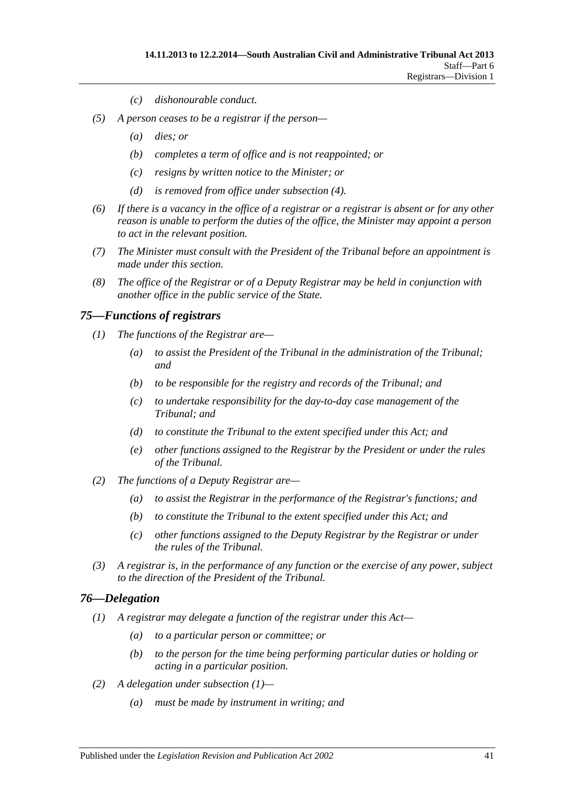- *(c) dishonourable conduct.*
- *(5) A person ceases to be a registrar if the person—*
	- *(a) dies; or*
	- *(b) completes a term of office and is not reappointed; or*
	- *(c) resigns by written notice to the Minister; or*
	- *(d) is removed from office under [subsection](#page-39-7) (4).*
- *(6) If there is a vacancy in the office of a registrar or a registrar is absent or for any other reason is unable to perform the duties of the office, the Minister may appoint a person to act in the relevant position.*
- *(7) The Minister must consult with the President of the Tribunal before an appointment is made under this section.*
- *(8) The office of the Registrar or of a Deputy Registrar may be held in conjunction with another office in the public service of the State.*

#### <span id="page-40-0"></span>*75—Functions of registrars*

- *(1) The functions of the Registrar are—*
	- *(a) to assist the President of the Tribunal in the administration of the Tribunal; and*
	- *(b) to be responsible for the registry and records of the Tribunal; and*
	- *(c) to undertake responsibility for the day-to-day case management of the Tribunal; and*
	- *(d) to constitute the Tribunal to the extent specified under this Act; and*
	- *(e) other functions assigned to the Registrar by the President or under the rules of the Tribunal.*
- *(2) The functions of a Deputy Registrar are—*
	- *(a) to assist the Registrar in the performance of the Registrar's functions; and*
	- *(b) to constitute the Tribunal to the extent specified under this Act; and*
	- *(c) other functions assigned to the Deputy Registrar by the Registrar or under the rules of the Tribunal.*
- *(3) A registrar is, in the performance of any function or the exercise of any power, subject to the direction of the President of the Tribunal.*

#### <span id="page-40-2"></span><span id="page-40-1"></span>*76—Delegation*

- *(1) A registrar may delegate a function of the registrar under this Act—*
	- *(a) to a particular person or committee; or*
	- *(b) to the person for the time being performing particular duties or holding or acting in a particular position.*
- *(2) A delegation under [subsection](#page-40-2) (1)—*
	- *(a) must be made by instrument in writing; and*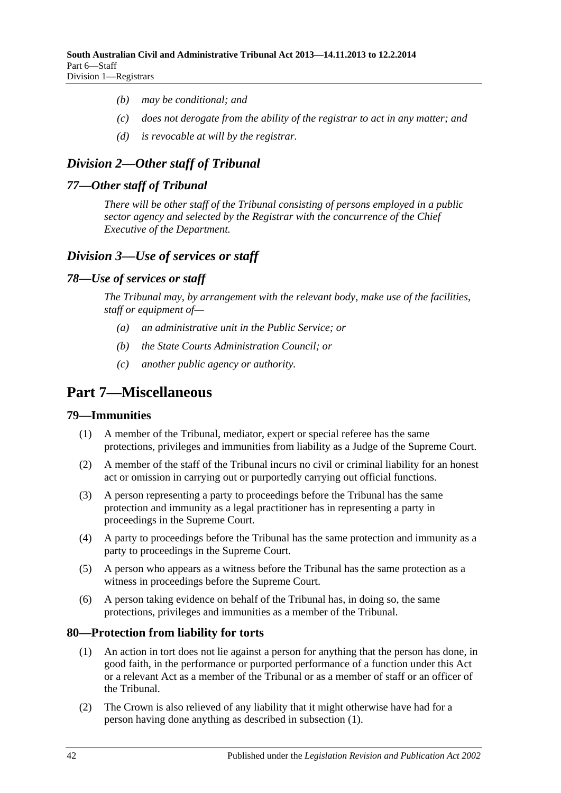- *(b) may be conditional; and*
- *(c) does not derogate from the ability of the registrar to act in any matter; and*
- *(d) is revocable at will by the registrar.*

## <span id="page-41-0"></span>*Division 2—Other staff of Tribunal*

## <span id="page-41-1"></span>*77—Other staff of Tribunal*

*There will be other staff of the Tribunal consisting of persons employed in a public sector agency and selected by the Registrar with the concurrence of the Chief Executive of the Department.*

## <span id="page-41-2"></span>*Division 3—Use of services or staff*

## <span id="page-41-3"></span>*78—Use of services or staff*

*The Tribunal may, by arrangement with the relevant body, make use of the facilities, staff or equipment of—*

- *(a) an administrative unit in the Public Service; or*
- *(b) the State Courts Administration Council; or*
- *(c) another public agency or authority.*

# <span id="page-41-4"></span>**Part 7—Miscellaneous**

## <span id="page-41-5"></span>**79—Immunities**

- (1) A member of the Tribunal, mediator, expert or special referee has the same protections, privileges and immunities from liability as a Judge of the Supreme Court.
- (2) A member of the staff of the Tribunal incurs no civil or criminal liability for an honest act or omission in carrying out or purportedly carrying out official functions.
- (3) A person representing a party to proceedings before the Tribunal has the same protection and immunity as a legal practitioner has in representing a party in proceedings in the Supreme Court.
- (4) A party to proceedings before the Tribunal has the same protection and immunity as a party to proceedings in the Supreme Court.
- (5) A person who appears as a witness before the Tribunal has the same protection as a witness in proceedings before the Supreme Court.
- (6) A person taking evidence on behalf of the Tribunal has, in doing so, the same protections, privileges and immunities as a member of the Tribunal.

## <span id="page-41-7"></span><span id="page-41-6"></span>**80—Protection from liability for torts**

- (1) An action in tort does not lie against a person for anything that the person has done, in good faith, in the performance or purported performance of a function under this Act or a relevant Act as a member of the Tribunal or as a member of staff or an officer of the Tribunal.
- (2) The Crown is also relieved of any liability that it might otherwise have had for a person having done anything as described in [subsection](#page-41-7) (1).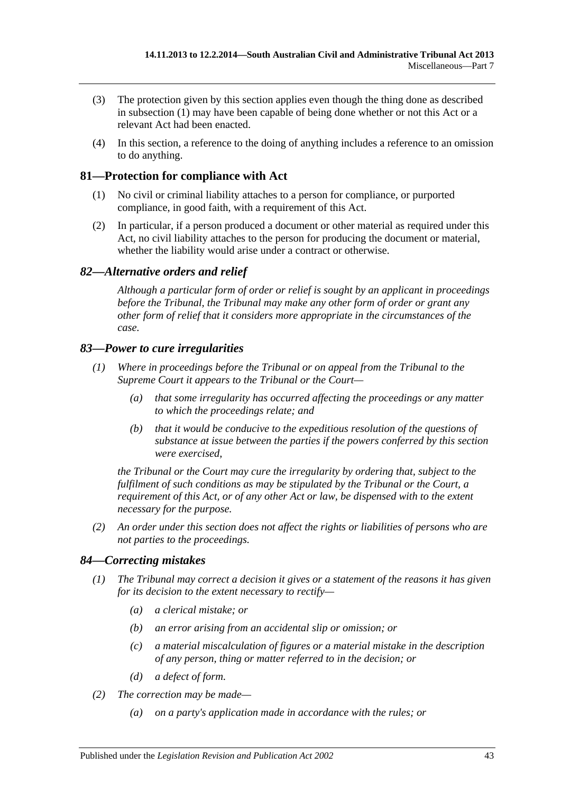- (3) The protection given by this section applies even though the thing done as described in [subsection](#page-41-7) (1) may have been capable of being done whether or not this Act or a relevant Act had been enacted.
- (4) In this section, a reference to the doing of anything includes a reference to an omission to do anything.

## <span id="page-42-0"></span>**81—Protection for compliance with Act**

- (1) No civil or criminal liability attaches to a person for compliance, or purported compliance, in good faith, with a requirement of this Act.
- (2) In particular, if a person produced a document or other material as required under this Act, no civil liability attaches to the person for producing the document or material, whether the liability would arise under a contract or otherwise.

## <span id="page-42-1"></span>*82—Alternative orders and relief*

*Although a particular form of order or relief is sought by an applicant in proceedings before the Tribunal, the Tribunal may make any other form of order or grant any other form of relief that it considers more appropriate in the circumstances of the case.*

## <span id="page-42-2"></span>*83—Power to cure irregularities*

- *(1) Where in proceedings before the Tribunal or on appeal from the Tribunal to the Supreme Court it appears to the Tribunal or the Court—*
	- *(a) that some irregularity has occurred affecting the proceedings or any matter to which the proceedings relate; and*
	- *(b) that it would be conducive to the expeditious resolution of the questions of substance at issue between the parties if the powers conferred by this section were exercised,*

*the Tribunal or the Court may cure the irregularity by ordering that, subject to the fulfilment of such conditions as may be stipulated by the Tribunal or the Court, a requirement of this Act, or of any other Act or law, be dispensed with to the extent necessary for the purpose.*

*(2) An order under this section does not affect the rights or liabilities of persons who are not parties to the proceedings.*

## <span id="page-42-3"></span>*84—Correcting mistakes*

- *(1) The Tribunal may correct a decision it gives or a statement of the reasons it has given for its decision to the extent necessary to rectify—*
	- *(a) a clerical mistake; or*
	- *(b) an error arising from an accidental slip or omission; or*
	- *(c) a material miscalculation of figures or a material mistake in the description of any person, thing or matter referred to in the decision; or*
	- *(d) a defect of form.*
- *(2) The correction may be made—*
	- *(a) on a party's application made in accordance with the rules; or*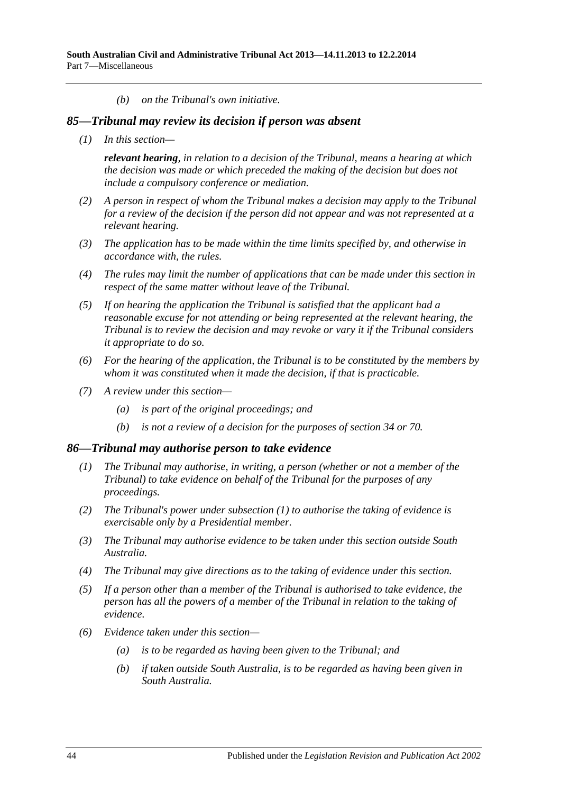*(b) on the Tribunal's own initiative.*

#### <span id="page-43-0"></span>*85—Tribunal may review its decision if person was absent*

*(1) In this section—*

*relevant hearing, in relation to a decision of the Tribunal, means a hearing at which the decision was made or which preceded the making of the decision but does not include a compulsory conference or mediation.*

- *(2) A person in respect of whom the Tribunal makes a decision may apply to the Tribunal for a review of the decision if the person did not appear and was not represented at a relevant hearing.*
- *(3) The application has to be made within the time limits specified by, and otherwise in accordance with, the rules.*
- *(4) The rules may limit the number of applications that can be made under this section in respect of the same matter without leave of the Tribunal.*
- *(5) If on hearing the application the Tribunal is satisfied that the applicant had a reasonable excuse for not attending or being represented at the relevant hearing, the Tribunal is to review the decision and may revoke or vary it if the Tribunal considers it appropriate to do so.*
- *(6) For the hearing of the application, the Tribunal is to be constituted by the members by whom it was constituted when it made the decision, if that is practicable.*
- *(7) A review under this section—*
	- *(a) is part of the original proceedings; and*
	- *(b) is not a review of a decision for the purposes of [section](#page-21-3) 34 or [70.](#page-37-5)*

#### <span id="page-43-2"></span><span id="page-43-1"></span>*86—Tribunal may authorise person to take evidence*

- *(1) The Tribunal may authorise, in writing, a person (whether or not a member of the Tribunal) to take evidence on behalf of the Tribunal for the purposes of any proceedings.*
- *(2) The Tribunal's power under [subsection](#page-43-2) (1) to authorise the taking of evidence is exercisable only by a Presidential member.*
- *(3) The Tribunal may authorise evidence to be taken under this section outside South Australia.*
- *(4) The Tribunal may give directions as to the taking of evidence under this section.*
- *(5) If a person other than a member of the Tribunal is authorised to take evidence, the person has all the powers of a member of the Tribunal in relation to the taking of evidence.*
- *(6) Evidence taken under this section—*
	- *(a) is to be regarded as having been given to the Tribunal; and*
	- *(b) if taken outside South Australia, is to be regarded as having been given in South Australia.*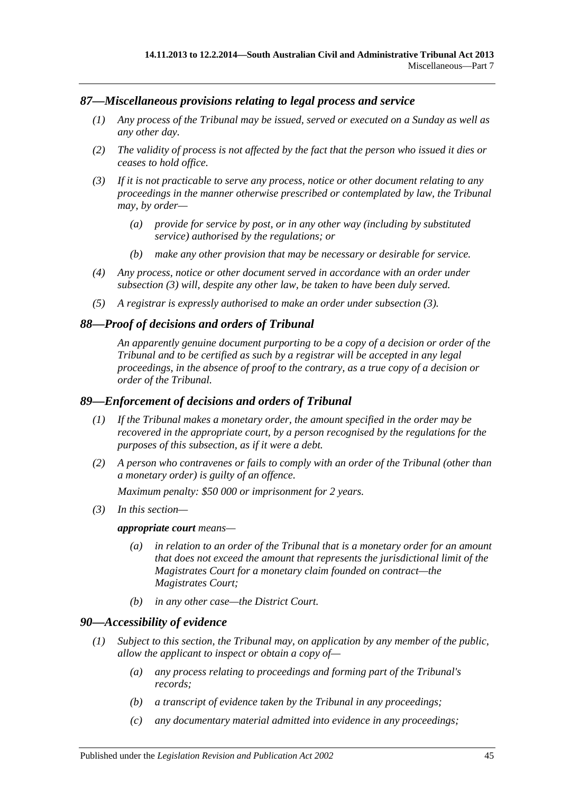### <span id="page-44-0"></span>*87—Miscellaneous provisions relating to legal process and service*

- *(1) Any process of the Tribunal may be issued, served or executed on a Sunday as well as any other day.*
- *(2) The validity of process is not affected by the fact that the person who issued it dies or ceases to hold office.*
- <span id="page-44-4"></span>*(3) If it is not practicable to serve any process, notice or other document relating to any proceedings in the manner otherwise prescribed or contemplated by law, the Tribunal may, by order—*
	- *(a) provide for service by post, or in any other way (including by substituted service) authorised by the regulations; or*
	- *(b) make any other provision that may be necessary or desirable for service.*
- *(4) Any process, notice or other document served in accordance with an order under [subsection](#page-44-4) (3) will, despite any other law, be taken to have been duly served.*
- *(5) A registrar is expressly authorised to make an order under [subsection](#page-44-4) (3).*

#### <span id="page-44-1"></span>*88—Proof of decisions and orders of Tribunal*

*An apparently genuine document purporting to be a copy of a decision or order of the Tribunal and to be certified as such by a registrar will be accepted in any legal proceedings, in the absence of proof to the contrary, as a true copy of a decision or order of the Tribunal.*

#### <span id="page-44-2"></span>*89—Enforcement of decisions and orders of Tribunal*

- *(1) If the Tribunal makes a monetary order, the amount specified in the order may be recovered in the appropriate court, by a person recognised by the regulations for the purposes of this subsection, as if it were a debt.*
- *(2) A person who contravenes or fails to comply with an order of the Tribunal (other than a monetary order) is guilty of an offence.*

*Maximum penalty: \$50 000 or imprisonment for 2 years.*

*(3) In this section—*

#### *appropriate court means—*

- *(a) in relation to an order of the Tribunal that is a monetary order for an amount that does not exceed the amount that represents the jurisdictional limit of the Magistrates Court for a monetary claim founded on contract—the Magistrates Court;*
- *(b) in any other case—the District Court.*

#### <span id="page-44-5"></span><span id="page-44-3"></span>*90—Accessibility of evidence*

- *(1) Subject to this section, the Tribunal may, on application by any member of the public, allow the applicant to inspect or obtain a copy of—*
	- *(a) any process relating to proceedings and forming part of the Tribunal's records;*
	- *(b) a transcript of evidence taken by the Tribunal in any proceedings;*
	- *(c) any documentary material admitted into evidence in any proceedings;*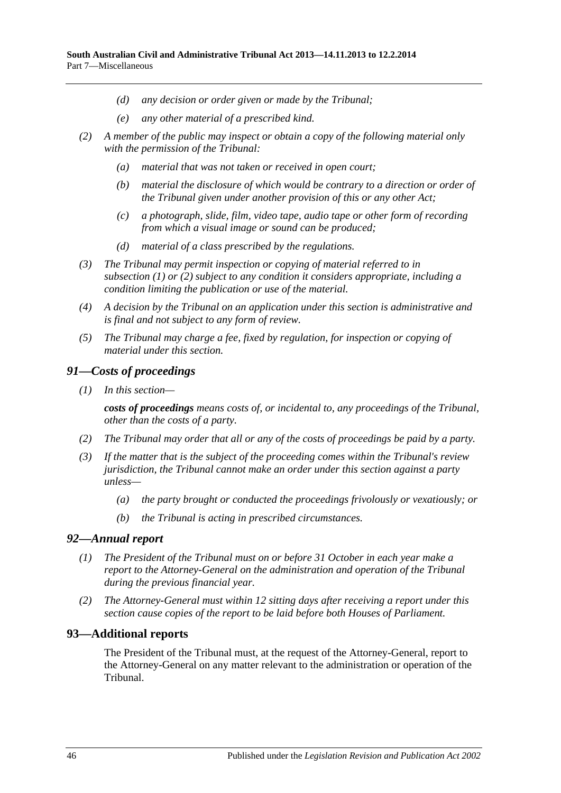- *(d) any decision or order given or made by the Tribunal;*
- *(e) any other material of a prescribed kind.*
- <span id="page-45-3"></span>*(2) A member of the public may inspect or obtain a copy of the following material only with the permission of the Tribunal:*
	- *(a) material that was not taken or received in open court;*
	- *(b) material the disclosure of which would be contrary to a direction or order of the Tribunal given under another provision of this or any other Act;*
	- *(c) a photograph, slide, film, video tape, audio tape or other form of recording from which a visual image or sound can be produced;*
	- *(d) material of a class prescribed by the regulations.*
- *(3) The Tribunal may permit inspection or copying of material referred to in [subsection](#page-44-5) (1) or [\(2\)](#page-45-3) subject to any condition it considers appropriate, including a condition limiting the publication or use of the material.*
- *(4) A decision by the Tribunal on an application under this section is administrative and is final and not subject to any form of review.*
- *(5) The Tribunal may charge a fee, fixed by regulation, for inspection or copying of material under this section.*

#### <span id="page-45-0"></span>*91—Costs of proceedings*

*(1) In this section—*

*costs of proceedings means costs of, or incidental to, any proceedings of the Tribunal, other than the costs of a party.*

- *(2) The Tribunal may order that all or any of the costs of proceedings be paid by a party.*
- *(3) If the matter that is the subject of the proceeding comes within the Tribunal's review jurisdiction, the Tribunal cannot make an order under this section against a party unless—*
	- *(a) the party brought or conducted the proceedings frivolously or vexatiously; or*
	- *(b) the Tribunal is acting in prescribed circumstances.*

#### <span id="page-45-1"></span>*92—Annual report*

- *(1) The President of the Tribunal must on or before 31 October in each year make a report to the Attorney-General on the administration and operation of the Tribunal during the previous financial year.*
- *(2) The Attorney-General must within 12 sitting days after receiving a report under this section cause copies of the report to be laid before both Houses of Parliament.*

## <span id="page-45-2"></span>**93—Additional reports**

The President of the Tribunal must, at the request of the Attorney-General, report to the Attorney-General on any matter relevant to the administration or operation of the Tribunal.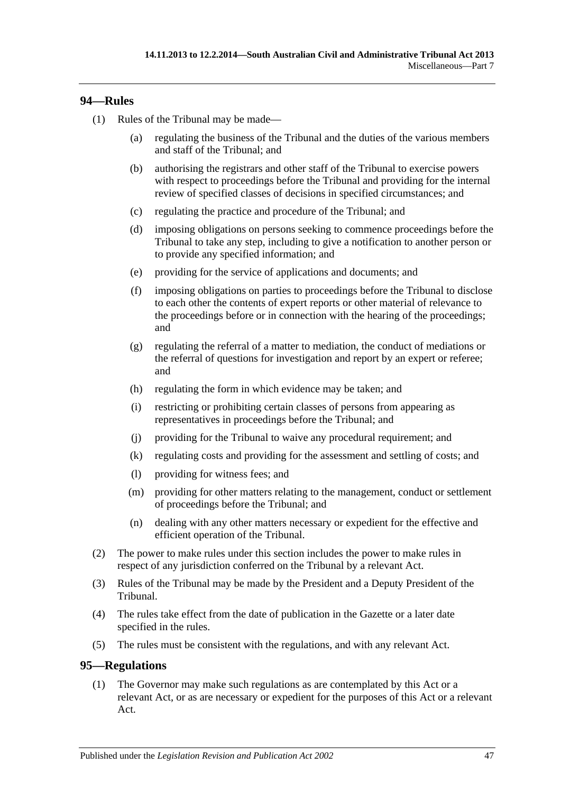## <span id="page-46-0"></span>**94—Rules**

- (1) Rules of the Tribunal may be made—
	- (a) regulating the business of the Tribunal and the duties of the various members and staff of the Tribunal; and
	- (b) authorising the registrars and other staff of the Tribunal to exercise powers with respect to proceedings before the Tribunal and providing for the internal review of specified classes of decisions in specified circumstances; and
	- (c) regulating the practice and procedure of the Tribunal; and
	- (d) imposing obligations on persons seeking to commence proceedings before the Tribunal to take any step, including to give a notification to another person or to provide any specified information; and
	- (e) providing for the service of applications and documents; and
	- (f) imposing obligations on parties to proceedings before the Tribunal to disclose to each other the contents of expert reports or other material of relevance to the proceedings before or in connection with the hearing of the proceedings; and
	- (g) regulating the referral of a matter to mediation, the conduct of mediations or the referral of questions for investigation and report by an expert or referee; and
	- (h) regulating the form in which evidence may be taken; and
	- (i) restricting or prohibiting certain classes of persons from appearing as representatives in proceedings before the Tribunal; and
	- (j) providing for the Tribunal to waive any procedural requirement; and
	- (k) regulating costs and providing for the assessment and settling of costs; and
	- (l) providing for witness fees; and
	- (m) providing for other matters relating to the management, conduct or settlement of proceedings before the Tribunal; and
	- (n) dealing with any other matters necessary or expedient for the effective and efficient operation of the Tribunal.
- (2) The power to make rules under this section includes the power to make rules in respect of any jurisdiction conferred on the Tribunal by a relevant Act.
- (3) Rules of the Tribunal may be made by the President and a Deputy President of the Tribunal.
- (4) The rules take effect from the date of publication in the Gazette or a later date specified in the rules.
- (5) The rules must be consistent with the regulations, and with any relevant Act.

## <span id="page-46-2"></span><span id="page-46-1"></span>**95—Regulations**

(1) The Governor may make such regulations as are contemplated by this Act or a relevant Act, or as are necessary or expedient for the purposes of this Act or a relevant Act.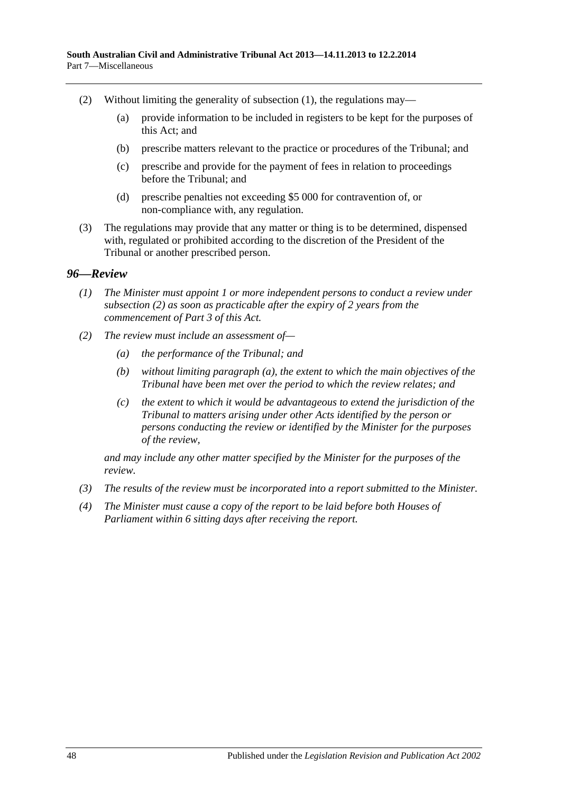- (2) Without limiting the generality of [subsection](#page-46-2)  $(1)$ , the regulations may—
	- (a) provide information to be included in registers to be kept for the purposes of this Act; and
	- (b) prescribe matters relevant to the practice or procedures of the Tribunal; and
	- (c) prescribe and provide for the payment of fees in relation to proceedings before the Tribunal; and
	- (d) prescribe penalties not exceeding \$5 000 for contravention of, or non-compliance with, any regulation.
- (3) The regulations may provide that any matter or thing is to be determined, dispensed with, regulated or prohibited according to the discretion of the President of the Tribunal or another prescribed person.

#### <span id="page-47-0"></span>*96—Review*

- *(1) The Minister must appoint 1 or more independent persons to conduct a review under [subsection](#page-47-1) (2) as soon as practicable after the expiry of 2 years from the commencement of [Part](#page-20-1) 3 of this Act.*
- <span id="page-47-2"></span><span id="page-47-1"></span>*(2) The review must include an assessment of—*
	- *(a) the performance of the Tribunal; and*
	- *(b) without limiting [paragraph](#page-47-2) (a), the extent to which the main objectives of the Tribunal have been met over the period to which the review relates; and*
	- *(c) the extent to which it would be advantageous to extend the jurisdiction of the Tribunal to matters arising under other Acts identified by the person or persons conducting the review or identified by the Minister for the purposes of the review,*

*and may include any other matter specified by the Minister for the purposes of the review.*

- *(3) The results of the review must be incorporated into a report submitted to the Minister.*
- *(4) The Minister must cause a copy of the report to be laid before both Houses of Parliament within 6 sitting days after receiving the report.*